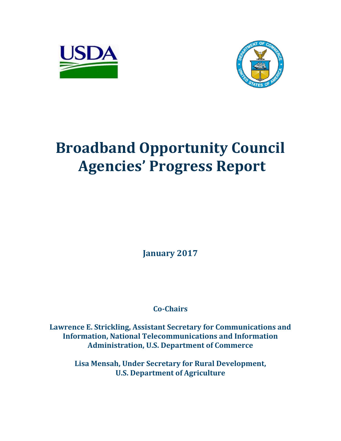



# **Broadband Opportunity Council Agencies' Progress Report**

**January 2017**

**Co-Chairs**

**Lawrence E. Strickling, Assistant Secretary for Communications and Information, National Telecommunications and Information Administration, U.S. Department of Commerce**

> **Lisa Mensah, Under Secretary for Rural Development, U.S. Department of Agriculture**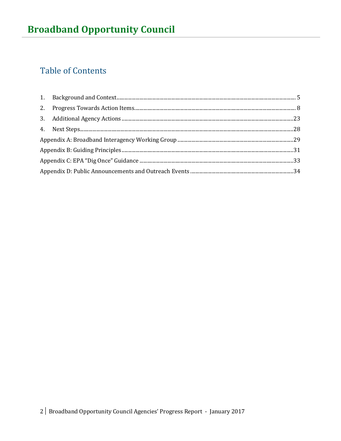# **Table of Contents**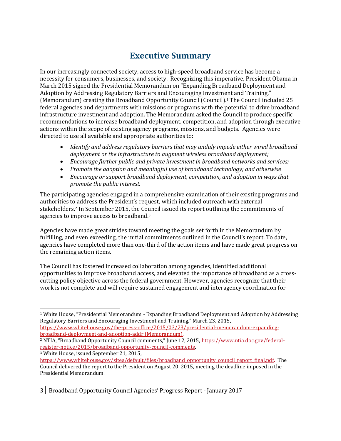# **Executive Summary**

In our increasingly connected society, access to high-speed broadband service has become a necessity for consumers, businesses, and society. Recognizing this imperative, President Obama in March 2015 signed the Presidential Memorandum on "Expanding Broadband Deployment and Adoption by Addressing Regulatory Barriers and Encouraging Investment and Training," (Memorandum) creating the Broadband Opportunity Council (Council). <sup>1</sup> The Council included 25 federal agencies and departments with missions or programs with the potential to drive broadband infrastructure investment and adoption. The Memorandum asked the Council to produce specific recommendations to increase broadband deployment, competition, and adoption through executive actions within the scope of existing agency programs, missions, and budgets. Agencies were directed to use all available and appropriate authorities to:

- *Identify and address regulatory barriers that may unduly impede either wired broadband deployment or the infrastructure to augment wireless broadband deployment;*
- *Encourage further public and private investment in broadband networks and services;*
- *Promote the adoption and meaningful use of broadband technology; and otherwise*
- *Encourage or support broadband deployment, competition, and adoption in ways that promote the public interest.*

The participating agencies engaged in a comprehensive examination of their existing programs and authorities to address the President's request, which included outreach with external stakeholders. <sup>2</sup> In September 2015, the Council issued its report outlining the commitments of agencies to improve access to broadband.<sup>3</sup>

Agencies have made great strides toward meeting the goals set forth in the Memorandum by fulfilling, and even exceeding, the initial commitments outlined in the Council's report. To date, agencies have completed more than one-third of the action items and have made great progress on the remaining action items.

The Council has fostered increased collaboration among agencies, identified additional opportunities to improve broadband access, and elevated the importance of broadband as a crosscutting policy objective across the federal government. However, agencies recognize that their work is not complete and will require sustained engagement and interagency coordination for

l

3│ Broadband Opportunity Council Agencies' Progress Report - January 2017

<sup>1</sup> White House, "Presidential Memorandum - Expanding Broadband Deployment and Adoption by Addressing Regulatory Barriers and Encouraging Investment and Training," March 23, 2015, [https://www.whitehouse.gov/the-press-office/2015/03/23/presidential-memorandum-expanding-](https://www.whitehouse.gov/the-press-office/2015/03/23/presidential-memorandum-expanding-broadband-deployment-and-adoption-addr)

[broadband-deployment-and-adoption-addr](https://www.whitehouse.gov/the-press-office/2015/03/23/presidential-memorandum-expanding-broadband-deployment-and-adoption-addr) (Memorandum).

<sup>2</sup> NTIA, "Broadband Opportunity Council comments," June 12, 2015, [https://www.ntia.doc.gov/federal](https://www.ntia.doc.gov/federal-register-notice/2015/broadband-opportunity-council-comments)[register-notice/2015/broadband-opportunity-council-comments.](https://www.ntia.doc.gov/federal-register-notice/2015/broadband-opportunity-council-comments)

<sup>3</sup> White House, issued September 21, 2015,

https://www.whitehouse.gov/sites/default/files/broadband\_opportunity\_council\_report\_final.pdf.\_The Council delivered the report to the President on August 20, 2015, meeting the deadline imposed in the Presidential Memorandum.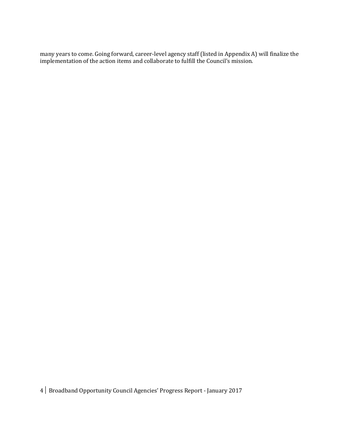many years to come. Going forward, career-level agency staff (listed in Appendix A) will finalize the implementation of the action items and collaborate to fulfill the Council's mission.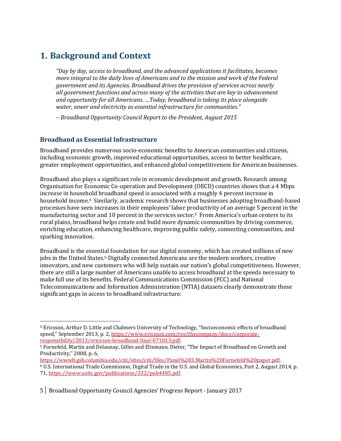### <span id="page-4-0"></span>**1. Background and Context**

*"Day by day, access to broadband, and the advanced applications it facilitates, becomes more integral to the daily lives of Americans and to the mission and work of the Federal government and its Agencies. Broadband drives the provision of services across nearly all government functions and across many of the activities that are key to advancement and opportunity for all Americans. …Today, broadband is taking its place alongside water, sewer and electricity as essential infrastructure for communities."*

*– Broadband Opportunity Council Report to the President, August 2015*

### **Broadband as Essential Infrastructure**

 $\overline{\phantom{0}}$ 

Broadband provides numerous socio-economic benefits to American communities and citizens, including economic growth, improved educational opportunities, access to better healthcare, greater employment opportunities, and enhanced global competitiveness for American businesses.

Broadband also plays a significant role in economic development and growth. Research among Organisation for Economic Co-operation and Development (OECD) countries shows that a 4 Mbps increase in household broadband speed is associated with a roughly 4 percent increase in household income.<sup>4</sup> Similarly, academic research shows that businesses adopting broadband-based processes have seen increases in their employees' labor productivity of an average 5 percent in the manufacturing sector and 10 percent in the services sector.<sup>5</sup> From America's urban centers to its rural plains, broadband helps create and build more dynamic communities by driving commerce, enriching education, enhancing healthcare, improving public safety, connecting communities, and sparking innovation.

Broadband is the essential foundation for our digital economy, which has [created millions of new](http://www.ntia.doc.gov/files/ntia/publications/enabling_growth_innovation_in_the_de_0.pdf)  [jobs](http://www.ntia.doc.gov/files/ntia/publications/enabling_growth_innovation_in_the_de_0.pdf) in the United States.<sup>6</sup> Digitally connected Americans are the modern workers, creative innovators, and new customers who will help sustain our nation's global competitiveness. However, there are still a large number of Americans unable to access broadband at the speeds necessary to make full use of its benefits. Federal Communications Commission (FCC) and National Telecommunications and Information Administration (NTIA) datasets clearly demonstrate these significant gaps in access to broadband infrastructure:

<sup>4</sup> Ericsson, Arthur D. Little and Chalmers University of Technology, "Socioeconomic effects of broadband speed," September 2013, p. 2, [https://www.ericsson.com/res/thecompany/docs/corporate](https://www.ericsson.com/res/thecompany/docs/corporate-responsibility/2013/ericsson-broadband-final-071013.pdf)[responsibility/2013/ericsson-broadband-final-071013.pdf.](https://www.ericsson.com/res/thecompany/docs/corporate-responsibility/2013/ericsson-broadband-final-071013.pdf)

<sup>5</sup> Fornefeld, Martin and Delaunay, Gilles and Elixmann, Dieter, "The Impact of Broadband on Growth and Productivity," 2008, p. 6,

[https://www8.gsb.columbia.edu/citi/sites/citi/files/Panel%203.Martin%20Fornefeld%20paper.pdf.](https://www8.gsb.columbia.edu/citi/sites/citi/files/Panel%203.Martin%20Fornefeld%20paper.pdf) <sup>6</sup> U.S. International Trade Commission, Digital Trade in the U.S. and Global Economies, Part 2, August 2014, p. 71[, https://www.usitc.gov/publications/332/pub4485.pdf.](https://www.usitc.gov/publications/332/pub4485.pdf)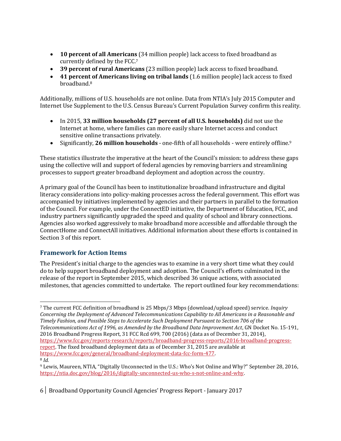- **10 percent of all Americans** (34 million people) lack access to fixed broadband as currently defined by the FCC. 7
- **39 percent of rural Americans** (23 million people) lack access to fixed broadband.
- **41 percent of Americans living on tribal lands** (1.6 million people) lack access to fixed broadband. 8

Additionally, millions of U.S. households are not online. Data from NTIA's [July 2015 Computer and](http://www.ntia.doc.gov/category/data-central)  [Internet Use Supplement](http://www.ntia.doc.gov/category/data-central) to the U.S. Census Bureau's Current Population Survey confirm this reality.

- In 2015, **33 million households (27 percent of all U.S. households)** did not use the Internet at home, where families can more easily share Internet access and conduct sensitive online transactions privately.
- Significantly, **26 million households**  one-fifth of all households were entirely offline.<sup>9</sup>

These statistics illustrate the imperative at the heart of the Council's mission: to address these gaps using the collective will and support of federal agencies by removing barriers and streamlining processes to support greater broadband deployment and adoption across the country.

A primary goal of the Council has been to institutionalize broadband infrastructure and digital literacy considerations into policy-making processes across the federal government. This effort was accompanied by initiatives implemented by agencies and their partners in parallel to the formation of the Council. For example, under the ConnectED initiative, the Department of Education, FCC, and industry partners significantly upgraded the speed and quality of school and library connections. Agencies also worked aggressively to make broadband more accessible and affordable through the ConnectHome and ConnectAll initiatives. Additional information about these efforts is contained in Section 3 of this report.

### **Framework for Action Items**

The President's initial charge to the agencies was to examine in a very short time what they could do to help support broadband deployment and adoption. The Council's efforts culminated in the release of the report in September 2015, which described 36 unique actions, with associated milestones, that agencies committed to undertake. The report outlined four key recommendations:

 $\overline{\phantom{0}}$ <sup>7</sup> The current FCC definition of broadband is 25 Mbps/3 Mbps (download/upload speed) service. *Inquiry Concerning the Deployment of Advanced Telecommunications Capability to All Americans in a Reasonable and Timely Fashion, and Possible Steps to Accelerate Such Deployment Pursuant to Section 706 of the Telecommunications Act of 1996, as Amended by the Broadband Data Improvement Act*, GN Docket No. 15-191, 2016 Broadband Progress Report, 31 FCC Rcd 699, 700 (2016) (data as of December 31, 2014), [https://www.fcc.gov/reports-research/reports/broadband-progress-reports/2016-broadband-progress](https://www.fcc.gov/reports-research/reports/broadband-progress-reports/2016-broadband-progress-report)[report.](https://www.fcc.gov/reports-research/reports/broadband-progress-reports/2016-broadband-progress-report) The fixed broadband deployment data as of December 31, 2015 are available at [https://www.fcc.gov/general/broadband-deployment-data-fcc-form-477.](https://www.fcc.gov/general/broadband-deployment-data-fcc-form-477) <sup>8</sup> *Id.*

<sup>9</sup> Lewis, Maureen, NTIA, "Digitally Unconnected in the U.S.: Who's Not Online and Why?" September 28, 2016, [https://ntia.doc.gov/blog/2016/digitally-unconnected-us-who-s-not-online-and-why.](https://ntia.doc.gov/blog/2016/digitally-unconnected-us-who-s-not-online-and-why)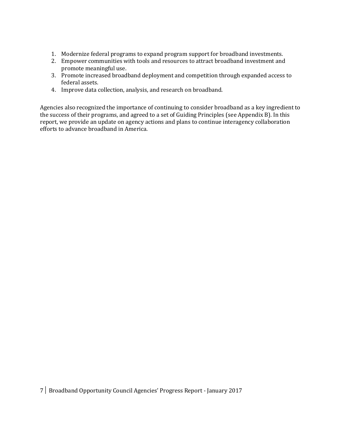- 1. Modernize federal programs to expand program support for broadband investments.
- 2. Empower communities with tools and resources to attract broadband investment and promote meaningful use.
- 3. Promote increased broadband deployment and competition through expanded access to federal assets.
- 4. Improve data collection, analysis, and research on broadband.

Agencies also recognized the importance of continuing to consider broadband as a key ingredient to the success of their programs, and agreed to a set of Guiding Principles (see Appendix B). In this report, we provide an update on agency actions and plans to continue interagency collaboration efforts to advance broadband in America.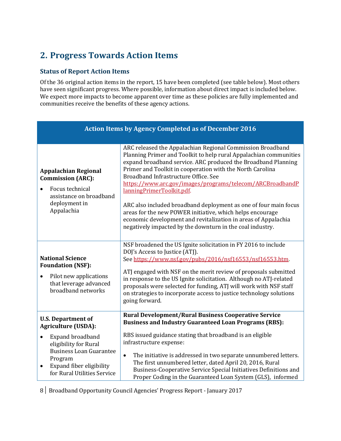# <span id="page-7-0"></span>**2. Progress Towards Action Items**

### **Status of Report Action Items**

Of the 36 original action items in the report, 15 have been completed (see table below). Most others have seen significant progress. Where possible, information about direct impact is included below. We expect more impacts to become apparent over time as these policies are fully implemented and communities receive the benefits of these agency actions.

| <b>Action Items by Agency Completed as of December 2016</b>                                                                                                    |                                                                                                                                                                                                                                                                                                                                                                                                                                                                                                                                                                                                                                                                 |  |
|----------------------------------------------------------------------------------------------------------------------------------------------------------------|-----------------------------------------------------------------------------------------------------------------------------------------------------------------------------------------------------------------------------------------------------------------------------------------------------------------------------------------------------------------------------------------------------------------------------------------------------------------------------------------------------------------------------------------------------------------------------------------------------------------------------------------------------------------|--|
| <b>Appalachian Regional</b><br><b>Commission (ARC):</b><br>Focus technical<br>assistance on broadband<br>deployment in<br>Appalachia                           | ARC released the Appalachian Regional Commission Broadband<br>Planning Primer and Toolkit to help rural Appalachian communities<br>expand broadband service. ARC produced the Broadband Planning<br>Primer and Toolkit in cooperation with the North Carolina<br>Broadband Infrastructure Office. See<br>https://www.arc.gov/images/programs/telecom/ARCBroadbandP<br>lanningPrimerToolkit.pdf.<br>ARC also included broadband deployment as one of four main focus<br>areas for the new POWER initiative, which helps encourage<br>economic development and revitalization in areas of Appalachia<br>negatively impacted by the downturn in the coal industry. |  |
| <b>National Science</b><br><b>Foundation (NSF):</b><br>Pilot new applications<br>$\bullet$<br>that leverage advanced<br>broadband networks                     | NSF broadened the US Ignite solicitation in FY 2016 to include<br>DOJ's Access to Justice (ATJ).<br>See https://www.nsf.gov/pubs/2016/nsf16553/nsf16553.htm.<br>ATJ engaged with NSF on the merit review of proposals submitted<br>in response to the US Ignite solicitation. Although no ATJ-related<br>proposals were selected for funding, ATJ will work with NSF staff<br>on strategies to incorporate access to justice technology solutions<br>going forward.                                                                                                                                                                                             |  |
| <b>U.S. Department of</b><br><b>Agriculture (USDA):</b>                                                                                                        | <b>Rural Development/Rural Business Cooperative Service</b><br><b>Business and Industry Guaranteed Loan Programs (RBS):</b>                                                                                                                                                                                                                                                                                                                                                                                                                                                                                                                                     |  |
| Expand broadband<br>eligibility for Rural<br><b>Business Loan Guarantee</b><br>Program<br>Expand fiber eligibility<br>$\bullet$<br>for Rural Utilities Service | RBS issued guidance stating that broadband is an eligible<br>infrastructure expense:<br>The initiative is addressed in two separate unnumbered letters.<br>$\bullet$<br>The first unnumbered letter, dated April 20, 2016, Rural<br>Business-Cooperative Service Special Initiatives Definitions and<br>Proper Coding in the Guaranteed Loan System (GLS), informed                                                                                                                                                                                                                                                                                             |  |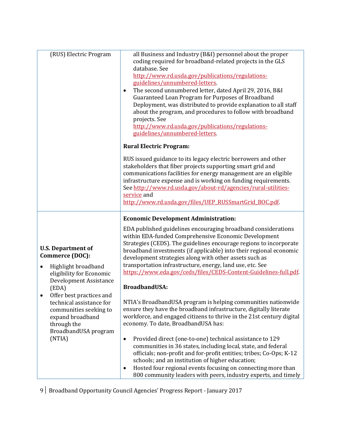| all Business and Industry (B&I) personnel about the proper<br>coding required for broadband-related projects in the GLS<br>database. See<br>http://www.rd.usda.gov/publications/regulations-<br>guidelines/unnumbered-letters.<br>The second unnumbered letter, dated April 29, 2016, B&I<br>$\bullet$<br>Guaranteed Loan Program for Purposes of Broadband<br>Deployment, was distributed to provide explanation to all staff<br>about the program, and procedures to follow with broadband<br>projects. See<br>http://www.rd.usda.gov/publications/regulations-<br>guidelines/unnumbered-letters |
|----------------------------------------------------------------------------------------------------------------------------------------------------------------------------------------------------------------------------------------------------------------------------------------------------------------------------------------------------------------------------------------------------------------------------------------------------------------------------------------------------------------------------------------------------------------------------------------------------|
| <b>Rural Electric Program:</b>                                                                                                                                                                                                                                                                                                                                                                                                                                                                                                                                                                     |
| RUS issued guidance to its legacy electric borrowers and other<br>stakeholders that fiber projects supporting smart grid and<br>communications facilities for energy management are an eligible<br>infrastructure expense and is working on funding requirements.<br>See http://www.rd.usda.gov/about-rd/agencies/rural-utilities-<br>service and<br>http://www.rd.usda.gov/files/UEP_RUSSmartGrid_BOC.pdf                                                                                                                                                                                         |
| <b>Economic Development Administration:</b>                                                                                                                                                                                                                                                                                                                                                                                                                                                                                                                                                        |
| EDA published guidelines encouraging broadband considerations<br>within EDA-funded Comprehensive Economic Development<br>Strategies (CEDS). The guidelines encourage regions to incorporate<br>broadband investments (if applicable) into their regional economic<br>development strategies along with other assets such as<br>transportation infrastructure, energy, land use, etc. See<br>https://www.eda.gov/ceds/files/CEDS-Content-Guidelines-full.pdf                                                                                                                                        |
| <b>BroadbandUSA:</b>                                                                                                                                                                                                                                                                                                                                                                                                                                                                                                                                                                               |
| NTIA's BroadbandUSA program is helping communities nationwide<br>ensure they have the broadband infrastructure, digitally literate<br>workforce, and engaged citizens to thrive in the 21st century digital<br>economy. To date, BroadbandUSA has:                                                                                                                                                                                                                                                                                                                                                 |
| Provided direct (one-to-one) technical assistance to 129<br>$\bullet$<br>communities in 36 states, including local, state, and federal<br>officials; non-profit and for-profit entities; tribes; Co-Ops; K-12<br>schools; and an institution of higher education;<br>Hosted four regional events focusing on connecting more than<br>$\bullet$<br>800 community leaders with peers, industry experts, and timely                                                                                                                                                                                   |
|                                                                                                                                                                                                                                                                                                                                                                                                                                                                                                                                                                                                    |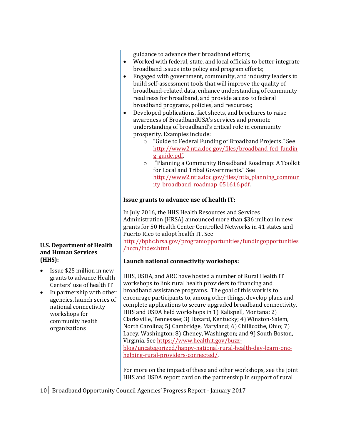| Developed publications, fact sheets, and brochures to raise<br>$\bullet$                                                                                                                                                                                                                         | awareness of BroadbandUSA's services and promote<br>understanding of broadband's critical role in community<br>prosperity. Examples include:<br>"Guide to Federal Funding of Broadband Projects." See<br>$\circ$<br>http://www2.ntia.doc.gov/files/broadband fed fundin<br>g guide.pdf<br>"Planning a Community Broadband Roadmap: A Toolkit<br>$\circ$<br>for Local and Tribal Governments." See<br>http://www2.ntia.doc.gov/files/ntia_planning_commun<br>ity broadband roadmap 051616.pdf.                                                                                                                                                                                                                                                                                                                                                                                                                                                                                                                                                                                                                                                                                                                                                     |
|--------------------------------------------------------------------------------------------------------------------------------------------------------------------------------------------------------------------------------------------------------------------------------------------------|---------------------------------------------------------------------------------------------------------------------------------------------------------------------------------------------------------------------------------------------------------------------------------------------------------------------------------------------------------------------------------------------------------------------------------------------------------------------------------------------------------------------------------------------------------------------------------------------------------------------------------------------------------------------------------------------------------------------------------------------------------------------------------------------------------------------------------------------------------------------------------------------------------------------------------------------------------------------------------------------------------------------------------------------------------------------------------------------------------------------------------------------------------------------------------------------------------------------------------------------------|
| <b>U.S. Department of Health</b><br>and Human Services<br>(HHS):<br>Issue \$25 million in new<br>grants to advance Health<br>Centers' use of health IT<br>In partnership with other<br>agencies, launch series of<br>national connectivity<br>workshops for<br>community health<br>organizations | Issue grants to advance use of health IT:<br>In July 2016, the HHS Health Resources and Services<br>Administration (HRSA) announced more than \$36 million in new<br>grants for 50 Health Center Controlled Networks in 41 states and<br>Puerto Rico to adopt health IT. See<br>http://bphc.hrsa.gov/programopportunities/fundingopportunities<br>/hccn/index.html.<br>Launch national connectivity workshops:<br>HHS, USDA, and ARC have hosted a number of Rural Health IT<br>workshops to link rural health providers to financing and<br>broadband assistance programs. The goal of this work is to<br>encourage participants to, among other things, develop plans and<br>complete applications to secure upgraded broadband connectivity.<br>HHS and USDA held workshops in 1) Kalispell, Montana; 2)<br>Clarksville, Tennessee; 3) Hazard, Kentucky; 4) Winston-Salem,<br>North Carolina; 5) Cambridge, Maryland; 6) Chillicothe, Ohio; 7)<br>Lacey, Washington; 8) Cheney, Washington; and 9) South Boston,<br>Virginia. See https://www.healthit.gov/buzz-<br>blog/uncategorized/happy-national-rural-health-day-learn-onc-<br>helping-rural-providers-connected/.<br>For more on the impact of these and other workshops, see the joint |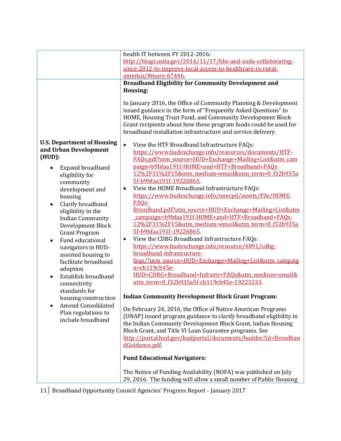|                                                                                                                                                                                                                                                             | health IT between FY 2012-2016:                                                                                                                                                                                                                                                                                                                                                                                                                                                                                                              |
|-------------------------------------------------------------------------------------------------------------------------------------------------------------------------------------------------------------------------------------------------------------|----------------------------------------------------------------------------------------------------------------------------------------------------------------------------------------------------------------------------------------------------------------------------------------------------------------------------------------------------------------------------------------------------------------------------------------------------------------------------------------------------------------------------------------------|
|                                                                                                                                                                                                                                                             | http://blogs.usda.gov/2016/11/17/hhs-and-usda-collaborating-                                                                                                                                                                                                                                                                                                                                                                                                                                                                                 |
|                                                                                                                                                                                                                                                             | since-2012-to-improve-local-access-to-healthcare-in-rural-                                                                                                                                                                                                                                                                                                                                                                                                                                                                                   |
|                                                                                                                                                                                                                                                             | america/#more-67446                                                                                                                                                                                                                                                                                                                                                                                                                                                                                                                          |
|                                                                                                                                                                                                                                                             | <b>Broadband Eligibility for Community Development and</b>                                                                                                                                                                                                                                                                                                                                                                                                                                                                                   |
|                                                                                                                                                                                                                                                             | Housing:                                                                                                                                                                                                                                                                                                                                                                                                                                                                                                                                     |
|                                                                                                                                                                                                                                                             | In January 2016, the Office of Community Planning & Development<br>issued guidance in the form of "Frequently Asked Questions" to<br>HOME, Housing Trust Fund, and Community Development Block<br>Grant recipients about how these program funds could be used for<br>broadband installation infrastructure and service delivery.                                                                                                                                                                                                            |
| <b>U.S. Department of Housing</b><br>and Urban Development<br>(HUD):<br>Expand broadband<br>eligibility for<br>community<br>development and<br>housing                                                                                                      | View the HTF Broadband Infrastructure FAQs:<br>$\bullet$<br>https://www.hudexchange.info/resources/documents/HTF-<br>FAOs.pdf?utm_source=HUD+Exchange+Mailing+List&utm_cam<br>paign=b9bfaa191f-HOME+and+HTF+Broadband+FAQs-<br>12%2F31%2F15&utm medium=email&utm term=0 f32b935a<br>5f-b9bfaa191f-19226865<br>View the HOME Broadband Infrastructure FAQs:<br>$\bullet$<br>https://www.hudexchange.info/onecpd/assets/File/HOME-                                                                                                             |
| Clarify broadband<br>eligibility in the<br><b>Indian Community</b><br>Development Block<br><b>Grant Program</b><br>Fund educational<br>navigators in HUD-<br>assisted housing to<br>facilitate broadband<br>adoption<br>Establish broadband<br>connectivity | FAQ <sub>S</sub> -<br>Broadband.pdf?utm_source=HUD+Exchange+Mailing+List&utm<br>campaign=b9bfaa191f-HOME+and+HTF+Broadband+FAQs-<br>12%2F31%2F15&utm medium=email&utm term=0 f32b935a<br>5f-b9bfaa191f-19226865.<br>View the CDBG Broadband Infrastructure FAQs:<br>$\bullet$<br>https://www.hudexchange.info/resource/4891/cdbg-<br>broadband-infrastructure-<br>faqs/?utm_source=HUD+Exchange+Mailing+List&utm_campaig<br>n=cb119cb45e-<br>HUD+CDBG+Broadband+Infrastr+FAQs&utm_medium=email&<br>utm term=0 f32b935a5f-cb119cb45e-19223233 |
| standards for                                                                                                                                                                                                                                               | <b>Indian Community Development Block Grant Program:</b>                                                                                                                                                                                                                                                                                                                                                                                                                                                                                     |
| housing construction<br><b>Amend Consolidated</b><br>Plan regulations to<br>include broadband                                                                                                                                                               | On February 24, 2016, the Office of Native American Programs<br>(ONAP) issued program guidance to clarify broadband eligibility in<br>the Indian Community Development Block Grant, Indian Housing<br>Block Grant, and Title VI Loan Guarantee programs. See<br>http://portal.hud.gov/hudportal/documents/huddoc?id=Broadban<br>dGuidance.pdf<br><b>Fund Educational Navigators:</b><br>The Notice of Funding Availability (NOFA) was published on July                                                                                      |
|                                                                                                                                                                                                                                                             | 29, 2016. The funding will allow a small number of Public Housing                                                                                                                                                                                                                                                                                                                                                                                                                                                                            |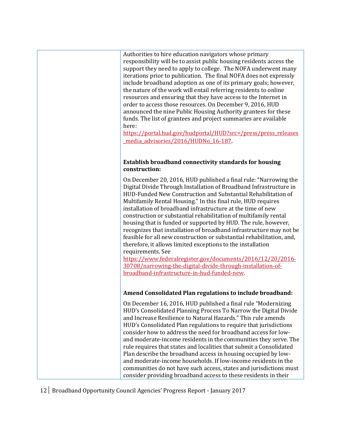Authorities to hire education navigators whose primary responsibility will be to assist public housing residents access the support they need to apply to college. The NOFA underwent many iterations prior to publication. The final NOFA does not expressly include broadband adoption as one of its primary goals; however, the nature of the work will entail referring residents to online resources and ensuring that they have access to the Internet in order to access those resources. On December 9, 2016, HUD announced the nine Public Housing Authority grantees for these funds. The list of grantees and project summaries are available here:

[https://portal.hud.gov/hudportal/HUD?src=/press/press\\_releases](https://portal.hud.gov/hudportal/HUD?src=/press/press_releases_media_advisories/2016/HUDNo_16-187) [\\_media\\_advisories/2016/HUDNo\\_16-187](https://portal.hud.gov/hudportal/HUD?src=/press/press_releases_media_advisories/2016/HUDNo_16-187).

#### **Establish broadband connectivity standards for housing construction:**

On December 20, 2016, HUD published a final rule: "Narrowing the Digital Divide Through Installation of Broadband Infrastructure in HUD-Funded New Construction and Substantial Rehabilitation of Multifamily Rental Housing." In this final rule, HUD requires installation of broadband infrastructure at the time of new construction or substantial rehabilitation of multifamily rental housing that is funded or supported by HUD. The rule, however, recognizes that installation of broadband infrastructure may not be feasible for all new construction or substantial rehabilitation, and, therefore, it allows limited exceptions to the installation requirements. See

[https://www.federalregister.gov/documents/2016/12/20/2016-](https://www.federalregister.gov/documents/2016/12/20/2016-30708/narrowing-the-digital-divide-through-installation-of-broadband-infrastructure-in-hud-funded-new) [30708/narrowing-the-digital-divide-through-installation-of](https://www.federalregister.gov/documents/2016/12/20/2016-30708/narrowing-the-digital-divide-through-installation-of-broadband-infrastructure-in-hud-funded-new)[broadband-infrastructure-in-hud-funded-new.](https://www.federalregister.gov/documents/2016/12/20/2016-30708/narrowing-the-digital-divide-through-installation-of-broadband-infrastructure-in-hud-funded-new)

#### **Amend Consolidated Plan regulations to include broadband:**

On December 16, 2016, HUD published a final rule "Modernizing HUD's Consolidated Planning Process To Narrow the Digital Divide and Increase Resilience to Natural Hazards." This rule amends HUD's Consolidated Plan regulations to require that jurisdictions consider how to address the need for broadband access for lowand moderate-income residents in the communities they serve. The rule requires that states and localities that submit a Consolidated Plan describe the broadband access in housing occupied by lowand moderate-income households. If low-income residents in the communities do not have such access, states and jurisdictions must consider providing broadband access to these residents in their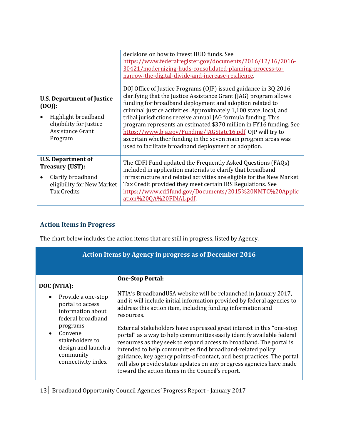|                                                                                                                              | decisions on how to invest HUD funds. See<br>https://www.federalregister.gov/documents/2016/12/16/2016-<br>30421/modernizing-huds-consolidated-planning-process-to-<br>narrow-the-digital-divide-and-increase-resilience.                                                                                                                                                                                                                                                                                                                                                                             |
|------------------------------------------------------------------------------------------------------------------------------|-------------------------------------------------------------------------------------------------------------------------------------------------------------------------------------------------------------------------------------------------------------------------------------------------------------------------------------------------------------------------------------------------------------------------------------------------------------------------------------------------------------------------------------------------------------------------------------------------------|
| <b>U.S. Department of Justice</b><br>(DOJ):<br>Highlight broadband<br>eligibility for Justice<br>Assistance Grant<br>Program | DOJ Office of Justice Programs (OJP) issued guidance in 3Q 2016<br>clarifying that the Justice Assistance Grant (JAG) program allows<br>funding for broadband deployment and adoption related to<br>criminal justice activities. Approximately 1,100 state, local, and<br>tribal jurisdictions receive annual JAG formula funding. This<br>program represents an estimated \$370 million in FY16 funding. See<br>https://www.bja.gov/Funding/JAGState16.pdf. 0JP will try to<br>ascertain whether funding in the seven main program areas was<br>used to facilitate broadband deployment or adoption. |
| <b>U.S. Department of</b><br><b>Treasury (UST):</b><br>Clarify broadband<br>eligibility for New Market<br><b>Tax Credits</b> | The CDFI Fund updated the Frequently Asked Questions (FAQs)<br>included in application materials to clarify that broadband<br>infrastructure and related activities are eligible for the New Market<br>Tax Credit provided they meet certain IRS Regulations. See<br>https://www.cdfifund.gov/Documents/2015%20NMTC%20Applic<br>ation%20QA%20FINAL.pdf                                                                                                                                                                                                                                                |

### **Action Items in Progress**

The chart below includes the action items that are still in progress, listed by Agency.

| Action Items by Agency in progress as of December 2016                                                                                                                                                                        |                                                                                                                                                                                                                                                                                                                                                                                                                                                                                                                                                                                                                                                                                                                                                 |  |
|-------------------------------------------------------------------------------------------------------------------------------------------------------------------------------------------------------------------------------|-------------------------------------------------------------------------------------------------------------------------------------------------------------------------------------------------------------------------------------------------------------------------------------------------------------------------------------------------------------------------------------------------------------------------------------------------------------------------------------------------------------------------------------------------------------------------------------------------------------------------------------------------------------------------------------------------------------------------------------------------|--|
| DOC (NTIA):<br>Provide a one-stop<br>$\bullet$<br>portal to access<br>information about<br>federal broadband<br>programs<br>Convene<br>$\bullet$<br>stakeholders to<br>design and launch a<br>community<br>connectivity index | <b>One-Stop Portal:</b><br>NTIA's BroadbandUSA website will be relaunched in January 2017,<br>and it will include initial information provided by federal agencies to<br>address this action item, including funding information and<br>resources.<br>External stakeholders have expressed great interest in this "one-stop<br>portal" as a way to help communities easily identify available federal<br>resources as they seek to expand access to broadband. The portal is<br>intended to help communities find broadband-related policy<br>guidance, key agency points-of-contact, and best practices. The portal<br>will also provide status updates on any progress agencies have made<br>toward the action items in the Council's report. |  |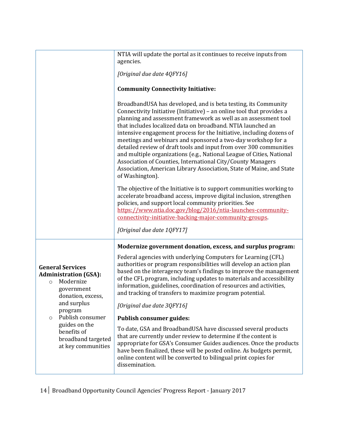|                                                                                                                     | NTIA will update the portal as it continues to receive inputs from<br>agencies.                                                                                                                                                                                                                                                                                                                                                                                                                                                                                                                                                                                                                                            |
|---------------------------------------------------------------------------------------------------------------------|----------------------------------------------------------------------------------------------------------------------------------------------------------------------------------------------------------------------------------------------------------------------------------------------------------------------------------------------------------------------------------------------------------------------------------------------------------------------------------------------------------------------------------------------------------------------------------------------------------------------------------------------------------------------------------------------------------------------------|
|                                                                                                                     | [Original due date 4QFY16]                                                                                                                                                                                                                                                                                                                                                                                                                                                                                                                                                                                                                                                                                                 |
|                                                                                                                     | <b>Community Connectivity Initiative:</b>                                                                                                                                                                                                                                                                                                                                                                                                                                                                                                                                                                                                                                                                                  |
|                                                                                                                     | BroadbandUSA has developed, and is beta testing, its Community<br>Connectivity Initiative (Initiative) - an online tool that provides a<br>planning and assessment framework as well as an assessment tool<br>that includes localized data on broadband. NTIA launched an<br>intensive engagement process for the Initiative, including dozens of<br>meetings and webinars and sponsored a two-day workshop for a<br>detailed review of draft tools and input from over 300 communities<br>and multiple organizations (e.g., National League of Cities, National<br>Association of Counties, International City/County Managers<br>Association, American Library Association, State of Maine, and State<br>of Washington). |
|                                                                                                                     | The objective of the Initiative is to support communities working to<br>accelerate broadband access, improve digital inclusion, strengthen<br>policies, and support local community priorities. See<br>https://www.ntia.doc.gov/blog/2016/ntia-launches-community-<br>connectivity-initiative-backing-major-community-groups.<br>[Original due date 1QFY17]                                                                                                                                                                                                                                                                                                                                                                |
|                                                                                                                     | Modernize government donation, excess, and surplus program:                                                                                                                                                                                                                                                                                                                                                                                                                                                                                                                                                                                                                                                                |
| <b>General Services</b><br><b>Administration (GSA):</b><br>Modernize<br>$\Omega$<br>government<br>donation, excess, | Federal agencies with underlying Computers for Learning (CFL)<br>authorities or program responsibilities will develop an action plan<br>based on the interagency team's findings to improve the management<br>of the CFL program, including updates to materials and accessibility<br>information, guidelines, coordination of resources and activities,<br>and tracking of transfers to maximize program potential.                                                                                                                                                                                                                                                                                                       |
| and surplus<br>program                                                                                              | [Original due date 3QFY16]                                                                                                                                                                                                                                                                                                                                                                                                                                                                                                                                                                                                                                                                                                 |
| Publish consumer<br>O<br>guides on the<br>benefits of<br>broadband targeted<br>at key communities                   | <b>Publish consumer guides:</b><br>To date, GSA and BroadbandUSA have discussed several products<br>that are currently under review to determine if the content is<br>appropriate for GSA's Consumer Guides audiences. Once the products<br>have been finalized, these will be posted online. As budgets permit,<br>online content will be converted to bilingual print copies for<br>dissemination.                                                                                                                                                                                                                                                                                                                       |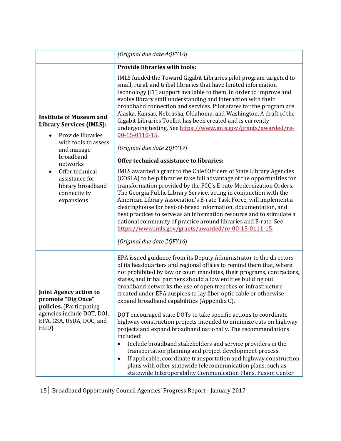|                                                                                                                                                                                                                                                            | [Original due date 4QFY16]                                                                                                                                                                                                                                                                                                                                                                                                                                                                                                                                                                                                                                                                                                                                                                                                                                                                                                                                                                                                                                                                                                                                                                                                                                                                                                        |
|------------------------------------------------------------------------------------------------------------------------------------------------------------------------------------------------------------------------------------------------------------|-----------------------------------------------------------------------------------------------------------------------------------------------------------------------------------------------------------------------------------------------------------------------------------------------------------------------------------------------------------------------------------------------------------------------------------------------------------------------------------------------------------------------------------------------------------------------------------------------------------------------------------------------------------------------------------------------------------------------------------------------------------------------------------------------------------------------------------------------------------------------------------------------------------------------------------------------------------------------------------------------------------------------------------------------------------------------------------------------------------------------------------------------------------------------------------------------------------------------------------------------------------------------------------------------------------------------------------|
|                                                                                                                                                                                                                                                            | <b>Provide libraries with tools:</b>                                                                                                                                                                                                                                                                                                                                                                                                                                                                                                                                                                                                                                                                                                                                                                                                                                                                                                                                                                                                                                                                                                                                                                                                                                                                                              |
| <b>Institute of Museum and</b><br><b>Library Services (IMLS):</b><br>Provide libraries<br>with tools to assess<br>and manage<br>broadband<br>networks<br>Offer technical<br>$\bullet$<br>assistance for<br>library broadband<br>connectivity<br>expansions | IMLS funded the Toward Gigabit Libraries pilot program targeted to<br>small, rural, and tribal libraries that have limited information<br>technology (IT) support available to them, in order to improve and<br>evolve library staff understanding and interaction with their<br>broadband connection and services. Pilot states for the program are<br>Alaska, Kansas, Nebraska, Oklahoma, and Washington. A draft of the<br>Gigabit Libraries Toolkit has been created and is currently<br>undergoing testing. See https://www.imls.gov/grants/awarded/re-<br>00-15-0110-15.<br>[Original due date 2QFY17]<br>Offer technical assistance to libraries:<br>IMLS awarded a grant to the Chief Officers of State Library Agencies<br>(COSLA) to help libraries take full advantage of the opportunities for<br>transformation provided by the FCC's E-rate Modernization Orders.<br>The Georgia Public Library Service, acting in conjunction with the<br>American Library Association's E-rate Task Force, will implement a<br>clearinghouse for best-of-breed information, documentation, and<br>best practices to serve as an information resource and to stimulate a<br>national community of practice around libraries and E-rate. See<br>https://www.imls.gov/grants/awarded/re-00-15-0111-15.<br>[Original due date 2QFY16] |
| <b>Joint Agency action to</b><br>promote "Dig Once"<br>policies. (Participating<br>agencies include DOT, DOI,<br>EPA, GSA, USDA, DOC, and<br>HUD)                                                                                                          | EPA issued guidance from its Deputy Administrator to the directors<br>of its headquarters and regional offices to remind them that, where<br>not prohibited by law or court mandates, their programs, contractors,<br>states, and tribal partners should allow entities building out<br>broadband networks the use of open trenches or infrastructure<br>created under EPA auspices to lay fiber optic cable or otherwise<br>expand broadband capabilities (Appendix C).<br>DOT encouraged state DOTs to take specific actions to coordinate<br>highway construction projects intended to minimize cuts on highway<br>projects and expand broadband nationally. The recommendations<br>included:<br>Include broadband stakeholders and service providers in the<br>$\bullet$<br>transportation planning and project development process.<br>If applicable, coordinate transportation and highway construction<br>$\bullet$<br>plans with other statewide telecommunication plans, such as<br>statewide Interoperability Communication Plans, Fusion Center                                                                                                                                                                                                                                                                        |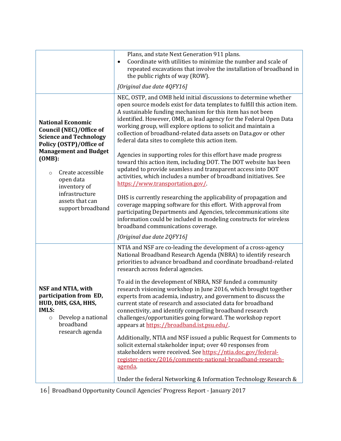|                                                                                                                                                                                                               | Plans, and state Next Generation 911 plans.<br>Coordinate with utilities to minimize the number and scale of<br>$\bullet$<br>repeated excavations that involve the installation of broadband in<br>the public rights of way (ROW).<br>[Original due date 4QFY16]                                                                                                                                                                                                                                                                                                                                                                                                                                                                                                                                                                                                                                                                                                                                                                                                    |
|---------------------------------------------------------------------------------------------------------------------------------------------------------------------------------------------------------------|---------------------------------------------------------------------------------------------------------------------------------------------------------------------------------------------------------------------------------------------------------------------------------------------------------------------------------------------------------------------------------------------------------------------------------------------------------------------------------------------------------------------------------------------------------------------------------------------------------------------------------------------------------------------------------------------------------------------------------------------------------------------------------------------------------------------------------------------------------------------------------------------------------------------------------------------------------------------------------------------------------------------------------------------------------------------|
| <b>National Economic</b><br><b>Council (NEC)/Office of</b><br><b>Science and Technology</b><br>Policy (OSTP)/Office of<br><b>Management and Budget</b><br>(OMB):<br>Create accessible<br>$\circ$<br>open data | NEC, OSTP, and OMB held initial discussions to determine whether<br>open source models exist for data templates to fulfill this action item.<br>A sustainable funding mechanism for this item has not been<br>identified. However, OMB, as lead agency for the Federal Open Data<br>working group, will explore options to solicit and maintain a<br>collection of broadband-related data assets on Data.gov or other<br>federal data sites to complete this action item.<br>Agencies in supporting roles for this effort have made progress<br>toward this action item, including DOT. The DOT website has been<br>updated to provide seamless and transparent access into DOT<br>activities, which includes a number of broadband initiatives. See                                                                                                                                                                                                                                                                                                                |
| inventory of<br>infrastructure<br>assets that can<br>support broadband                                                                                                                                        | https://www.transportation.gov/<br>DHS is currently researching the applicability of propagation and<br>coverage mapping software for this effort. With approval from<br>participating Departments and Agencies, telecommunications site<br>information could be included in modeling constructs for wireless<br>broadband communications coverage.                                                                                                                                                                                                                                                                                                                                                                                                                                                                                                                                                                                                                                                                                                                 |
| NSF and NTIA, with<br>participation from ED,<br>HUD, DHS, GSA, HHS,<br><b>IMLS:</b><br>Develop a national<br>$\circ$<br>broadband<br>research agenda                                                          | [Original due date 2QFY16]<br>NTIA and NSF are co-leading the development of a cross-agency<br>National Broadband Research Agenda (NBRA) to identify research<br>priorities to advance broadband and coordinate broadband-related<br>research across federal agencies.<br>To aid in the development of NBRA, NSF funded a community<br>research visioning workshop in June 2016, which brought together<br>experts from academia, industry, and government to discuss the<br>current state of research and associated data for broadband<br>connectivity, and identify compelling broadband research<br>challenges/opportunities going forward. The workshop report<br>appears at https://broadband.ist.psu.edu/.<br>Additionally, NTIA and NSF issued a public Request for Comments to<br>solicit external stakeholder input; over 40 responses from<br>stakeholders were received. See https://ntia.doc.gov/federal-<br>register-notice/2016/comments-national-broadband-research-<br>agenda.<br>Under the federal Networking & Information Technology Research & |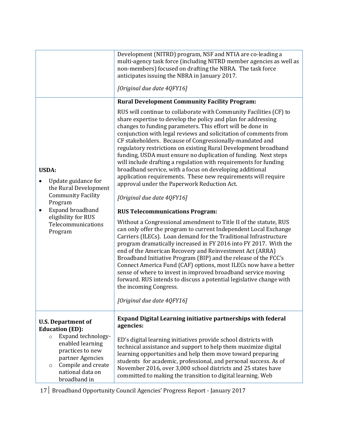|                                                                                                                                                                                  | Development (NITRD) program, NSF and NTIA are co-leading a<br>multi-agency task force (including NITRD member agencies as well as<br>non-members) focused on drafting the NBRA. The task force<br>anticipates issuing the NBRA in January 2017.<br>[Original due date 4QFY16]                                                                                                                                                                                                                                                                                                                                                                                                                                                                                                                                                                                                                                                                                                                                                                                                                                                                                                                                                                                                                                                                                                                                                                                                       |
|----------------------------------------------------------------------------------------------------------------------------------------------------------------------------------|-------------------------------------------------------------------------------------------------------------------------------------------------------------------------------------------------------------------------------------------------------------------------------------------------------------------------------------------------------------------------------------------------------------------------------------------------------------------------------------------------------------------------------------------------------------------------------------------------------------------------------------------------------------------------------------------------------------------------------------------------------------------------------------------------------------------------------------------------------------------------------------------------------------------------------------------------------------------------------------------------------------------------------------------------------------------------------------------------------------------------------------------------------------------------------------------------------------------------------------------------------------------------------------------------------------------------------------------------------------------------------------------------------------------------------------------------------------------------------------|
|                                                                                                                                                                                  | <b>Rural Development Community Facility Program:</b>                                                                                                                                                                                                                                                                                                                                                                                                                                                                                                                                                                                                                                                                                                                                                                                                                                                                                                                                                                                                                                                                                                                                                                                                                                                                                                                                                                                                                                |
| <b>USDA:</b><br>Update guidance for<br>the Rural Development<br><b>Community Facility</b><br>Program<br>Expand broadband<br>eligibility for RUS<br>Telecommunications<br>Program | RUS will continue to collaborate with Community Facilities (CF) to<br>share expertise to develop the policy and plan for addressing<br>changes to funding parameters. This effort will be done in<br>conjunction with legal reviews and solicitation of comments from<br>CF stakeholders. Because of Congressionally-mandated and<br>regulatory restrictions on existing Rural Development broadband<br>funding, USDA must ensure no duplication of funding. Next steps<br>will include drafting a regulation with requirements for funding<br>broadband service, with a focus on developing additional<br>application requirements. These new requirements will require<br>approval under the Paperwork Reduction Act.<br>[Original due date 4QFY16]<br><b>RUS Telecommunications Program:</b><br>Without a Congressional amendment to Title II of the statute, RUS<br>can only offer the program to current Independent Local Exchange<br>Carriers (ILECs). Loan demand for the Traditional Infrastructure<br>program dramatically increased in FY 2016 into FY 2017. With the<br>end of the American Recovery and Reinvestment Act (ARRA)<br>Broadband Initiative Program (BIP) and the release of the FCC's<br>Connect America Fund (CAF) options, most ILECs now have a better<br>sense of where to invest in improved broadband service moving<br>forward. RUS intends to discuss a potential legislative change with<br>the incoming Congress.<br>[Original due date 4QFY16] |
| <b>U.S. Department of</b>                                                                                                                                                        | <b>Expand Digital Learning initiative partnerships with federal</b>                                                                                                                                                                                                                                                                                                                                                                                                                                                                                                                                                                                                                                                                                                                                                                                                                                                                                                                                                                                                                                                                                                                                                                                                                                                                                                                                                                                                                 |
| <b>Education (ED):</b>                                                                                                                                                           | agencies:                                                                                                                                                                                                                                                                                                                                                                                                                                                                                                                                                                                                                                                                                                                                                                                                                                                                                                                                                                                                                                                                                                                                                                                                                                                                                                                                                                                                                                                                           |
| Expand technology-<br>$\circ$<br>enabled learning<br>practices to new<br>partner Agencies<br>Compile and create<br>O<br>national data on                                         | ED's digital learning initiatives provide school districts with<br>technical assistance and support to help them maximize digital<br>learning opportunities and help them move toward preparing<br>students for academic, professional, and personal success. As of<br>November 2016, over 3,000 school districts and 25 states have                                                                                                                                                                                                                                                                                                                                                                                                                                                                                                                                                                                                                                                                                                                                                                                                                                                                                                                                                                                                                                                                                                                                                |
| broadband in                                                                                                                                                                     | committed to making the transition to digital learning. Web                                                                                                                                                                                                                                                                                                                                                                                                                                                                                                                                                                                                                                                                                                                                                                                                                                                                                                                                                                                                                                                                                                                                                                                                                                                                                                                                                                                                                         |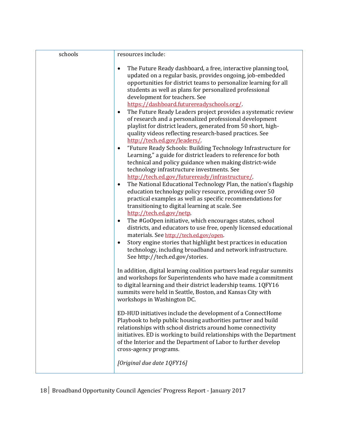| schools | resources include:                                                                                                                                                                                                                                                                                                                                                |
|---------|-------------------------------------------------------------------------------------------------------------------------------------------------------------------------------------------------------------------------------------------------------------------------------------------------------------------------------------------------------------------|
|         | The Future Ready dashboard, a free, interactive planning tool,<br>$\bullet$<br>updated on a regular basis, provides ongoing, job-embedded<br>opportunities for district teams to personalize learning for all<br>students as well as plans for personalized professional<br>development for teachers. See<br>https://dashboard.futurereadyschools.org/            |
|         | The Future Ready Leaders project provides a systematic review<br>$\bullet$<br>of research and a personalized professional development<br>playlist for district leaders, generated from 50 short, high-<br>quality videos reflecting research-based practices. See<br>http://tech.ed.gov/leaders/                                                                  |
|         | "Future Ready Schools: Building Technology Infrastructure for<br>٠<br>Learning," a guide for district leaders to reference for both<br>technical and policy guidance when making district-wide<br>technology infrastructure investments. See<br>http://tech.ed.gov/futureready/infrastructure/                                                                    |
|         | The National Educational Technology Plan, the nation's flagship<br>$\bullet$<br>education technology policy resource, providing over 50<br>practical examples as well as specific recommendations for<br>transitioning to digital learning at scale. See<br>http://tech.ed.gov/netp.                                                                              |
|         | The #GoOpen initiative, which encourages states, school<br>districts, and educators to use free, openly licensed educational<br>materials. See http://tech.ed.gov/open.<br>Story engine stories that highlight best practices in education<br>$\bullet$                                                                                                           |
|         | technology, including broadband and network infrastructure.<br>See http://tech.ed.gov/stories.                                                                                                                                                                                                                                                                    |
|         | In addition, digital learning coalition partners lead regular summits<br>and workshops for Superintendents who have made a commitment<br>to digital learning and their district leadership teams. 1QFY16<br>summits were held in Seattle, Boston, and Kansas City with<br>workshops in Washington DC.                                                             |
|         | ED-HUD initiatives include the development of a ConnectHome<br>Playbook to help public housing authorities partner and build<br>relationships with school districts around home connectivity<br>initiatives. ED is working to build relationships with the Department<br>of the Interior and the Department of Labor to further develop<br>cross-agency programs. |
|         | [Original due date 1QFY16]                                                                                                                                                                                                                                                                                                                                        |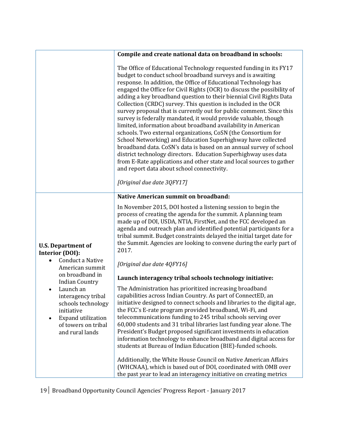|                                                                                                                                                         | Compile and create national data on broadband in schools:                                                                                                                                                                                                                                                                                                                                                                                                                                                                                                                                                                                                                                                                                                                                                                                                                                                                                                                                                                                                         |
|---------------------------------------------------------------------------------------------------------------------------------------------------------|-------------------------------------------------------------------------------------------------------------------------------------------------------------------------------------------------------------------------------------------------------------------------------------------------------------------------------------------------------------------------------------------------------------------------------------------------------------------------------------------------------------------------------------------------------------------------------------------------------------------------------------------------------------------------------------------------------------------------------------------------------------------------------------------------------------------------------------------------------------------------------------------------------------------------------------------------------------------------------------------------------------------------------------------------------------------|
|                                                                                                                                                         | The Office of Educational Technology requested funding in its FY17<br>budget to conduct school broadband surveys and is awaiting<br>response. In addition, the Office of Educational Technology has<br>engaged the Office for Civil Rights (OCR) to discuss the possibility of<br>adding a key broadband question to their biennial Civil Rights Data<br>Collection (CRDC) survey. This question is included in the OCR<br>survey proposal that is currently out for public comment. Since this<br>survey is federally mandated, it would provide valuable, though<br>limited, information about broadband availability in American<br>schools. Two external organizations, CoSN (the Consortium for<br>School Networking) and Education Superhighway have collected<br>broadband data. CoSN's data is based on an annual survey of school<br>district technology directors. Education Superhighway uses data<br>from E-Rate applications and other state and local sources to gather<br>and report data about school connectivity.<br>[Original due date 3QFY17] |
|                                                                                                                                                         | <b>Native American summit on broadband:</b>                                                                                                                                                                                                                                                                                                                                                                                                                                                                                                                                                                                                                                                                                                                                                                                                                                                                                                                                                                                                                       |
| <b>U.S. Department of</b><br><b>Interior (DOI):</b>                                                                                                     | In November 2015, DOI hosted a listening session to begin the<br>process of creating the agenda for the summit. A planning team<br>made up of DOI, USDA, NTIA, FirstNet, and the FCC developed an<br>agenda and outreach plan and identified potential participants for a<br>tribal summit. Budget constraints delayed the initial target date for<br>the Summit. Agencies are looking to convene during the early part of<br>2017.                                                                                                                                                                                                                                                                                                                                                                                                                                                                                                                                                                                                                               |
| Conduct a Native<br>American summit<br>on broadband in<br><b>Indian Country</b>                                                                         | [Original due date 4QFY16]                                                                                                                                                                                                                                                                                                                                                                                                                                                                                                                                                                                                                                                                                                                                                                                                                                                                                                                                                                                                                                        |
|                                                                                                                                                         | Launch interagency tribal schools technology initiative:                                                                                                                                                                                                                                                                                                                                                                                                                                                                                                                                                                                                                                                                                                                                                                                                                                                                                                                                                                                                          |
| Launch an<br>interagency tribal<br>schools technology<br>initiative<br><b>Expand utilization</b><br>$\bullet$<br>of towers on tribal<br>and rural lands | The Administration has prioritized increasing broadband<br>capabilities across Indian Country. As part of ConnectED, an<br>initiative designed to connect schools and libraries to the digital age,<br>the FCC's E-rate program provided broadband, Wi-Fi, and<br>telecommunications funding to 245 tribal schools serving over<br>60,000 students and 31 tribal libraries last funding year alone. The<br>President's Budget proposed significant investments in education<br>information technology to enhance broadband and digital access for<br>students at Bureau of Indian Education (BIE)-funded schools.<br>Additionally, the White House Council on Native American Affairs                                                                                                                                                                                                                                                                                                                                                                             |
|                                                                                                                                                         | (WHCNAA), which is based out of DOI, coordinated with OMB over<br>the past year to lead an interagency initiative on creating metrics                                                                                                                                                                                                                                                                                                                                                                                                                                                                                                                                                                                                                                                                                                                                                                                                                                                                                                                             |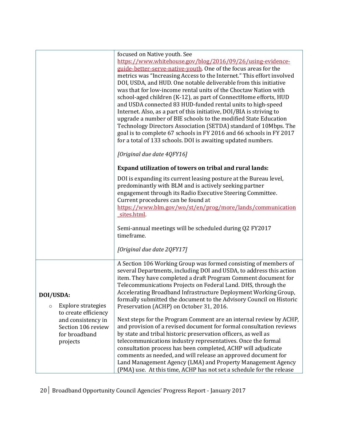|                                            | focused on Native youth. See<br>https://www.whitehouse.gov/blog/2016/09/26/using-evidence-                                          |
|--------------------------------------------|-------------------------------------------------------------------------------------------------------------------------------------|
|                                            | guide-better-serve-native-youth. One of the focus areas for the                                                                     |
|                                            | metrics was "Increasing Access to the Internet." This effort involved                                                               |
|                                            | DOI, USDA, and HUD. One notable deliverable from this initiative<br>was that for low-income rental units of the Choctaw Nation with |
|                                            | school-aged children (K-12), as part of ConnectHome efforts, HUD                                                                    |
|                                            | and USDA connected 83 HUD-funded rental units to high-speed                                                                         |
|                                            | Internet. Also, as a part of this initiative, DOI/BIA is striving to                                                                |
|                                            | upgrade a number of BIE schools to the modified State Education<br>Technology Directors Association (SETDA) standard of 10Mbps. The |
|                                            | goal is to complete 67 schools in FY 2016 and 66 schools in FY 2017                                                                 |
|                                            | for a total of 133 schools. DOI is awaiting updated numbers.                                                                        |
|                                            |                                                                                                                                     |
|                                            | [Original due date 4QFY16]                                                                                                          |
|                                            | Expand utilization of towers on tribal and rural lands:                                                                             |
|                                            | DOI is expanding its current leasing posture at the Bureau level,                                                                   |
|                                            | predominantly with BLM and is actively seeking partner<br>engagement through its Radio Executive Steering Committee.                |
|                                            | Current procedures can be found at                                                                                                  |
|                                            | https://www.blm.gov/wo/st/en/prog/more/lands/communication                                                                          |
|                                            | sites.html                                                                                                                          |
|                                            | Semi-annual meetings will be scheduled during Q2 FY2017                                                                             |
|                                            | timeframe.                                                                                                                          |
|                                            |                                                                                                                                     |
|                                            | [Original due date 2QFY17]                                                                                                          |
|                                            | A Section 106 Working Group was formed consisting of members of                                                                     |
|                                            | several Departments, including DOI and USDA, to address this action                                                                 |
|                                            | item. They have completed a draft Program Comment document for<br>Telecommunications Projects on Federal Land. DHS, through the     |
|                                            | Accelerating Broadband Infrastructure Deployment Working Group,                                                                     |
| DOI/USDA:                                  | formally submitted the document to the Advisory Council on Historic                                                                 |
| <b>Explore strategies</b><br>$\circ$       | Preservation (ACHP) on October 31, 2016.                                                                                            |
| to create efficiency<br>and consistency in | Next steps for the Program Comment are an internal review by ACHP,                                                                  |
| Section 106 review                         | and provision of a revised document for formal consultation reviews                                                                 |
| for broadband                              | by state and tribal historic preservation officers, as well as                                                                      |
| projects                                   | telecommunications industry representatives. Once the formal<br>consultation process has been completed, ACHP will adjudicate       |
|                                            | comments as needed, and will release an approved document for                                                                       |
|                                            | Land Management Agency (LMA) and Property Management Agency                                                                         |
|                                            | (PMA) use. At this time, ACHP has not set a schedule for the release                                                                |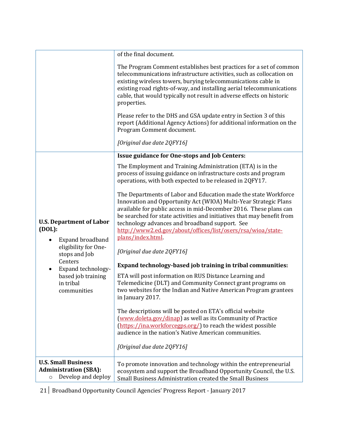|                                                                                             | of the final document.                                                                                                                                                                                                                                                                                                                                                                                                  |
|---------------------------------------------------------------------------------------------|-------------------------------------------------------------------------------------------------------------------------------------------------------------------------------------------------------------------------------------------------------------------------------------------------------------------------------------------------------------------------------------------------------------------------|
|                                                                                             | The Program Comment establishes best practices for a set of common<br>telecommunications infrastructure activities, such as collocation on<br>existing wireless towers, burying telecommunications cable in<br>existing road rights-of-way, and installing aerial telecommunications<br>cable, that would typically not result in adverse effects on historic<br>properties.                                            |
|                                                                                             | Please refer to the DHS and GSA update entry in Section 3 of this<br>report (Additional Agency Actions) for additional information on the<br>Program Comment document.                                                                                                                                                                                                                                                  |
|                                                                                             | [Original due date 2QFY16]                                                                                                                                                                                                                                                                                                                                                                                              |
|                                                                                             | Issue guidance for One-stops and Job Centers:                                                                                                                                                                                                                                                                                                                                                                           |
|                                                                                             | The Employment and Training Administration (ETA) is in the<br>process of issuing guidance on infrastructure costs and program<br>operations, with both expected to be released in 2QFY17.                                                                                                                                                                                                                               |
| <b>U.S. Department of Labor</b><br>(DOL):<br>Expand broadband                               | The Departments of Labor and Education made the state Workforce<br>Innovation and Opportunity Act (WIOA) Multi-Year Strategic Plans<br>available for public access in mid-December 2016. These plans can<br>be searched for state activities and initiatives that may benefit from<br>technology advances and broadband support. See<br>http://www2.ed.gov/about/offices/list/osers/rsa/wioa/state-<br>plans/index.html |
| eligibility for One-<br>stops and Job<br>Centers<br>Expand technology-                      | [Original due date 2QFY16]                                                                                                                                                                                                                                                                                                                                                                                              |
|                                                                                             | Expand technology-based job training in tribal communities:                                                                                                                                                                                                                                                                                                                                                             |
| based job training<br>in tribal<br>communities                                              | ETA will post information on RUS Distance Learning and<br>Telemedicine (DLT) and Community Connect grant programs on<br>two websites for the Indian and Native American Program grantees<br>in January 2017.                                                                                                                                                                                                            |
|                                                                                             | The descriptions will be posted on ETA's official website<br>(www.doleta.gov/dinap) as well as its Community of Practice<br>(https://ina.workforcegps.org/) to reach the widest possible<br>audience in the nation's Native American communities.                                                                                                                                                                       |
|                                                                                             | [Original due date 2QFY16]                                                                                                                                                                                                                                                                                                                                                                                              |
| <b>U.S. Small Business</b><br><b>Administration (SBA):</b><br>Develop and deploy<br>$\circ$ | To promote innovation and technology within the entrepreneurial<br>ecosystem and support the Broadband Opportunity Council, the U.S.<br>Small Business Administration created the Small Business                                                                                                                                                                                                                        |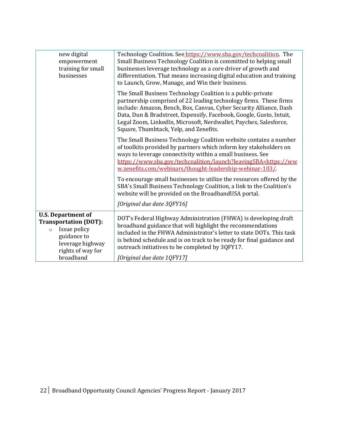| new digital<br>empowerment<br>training for small<br>businesses                                                                                            | Technology Coalition. See https://www.sba.gov/techcoalition. The<br>Small Business Technology Coalition is committed to helping small<br>businesses leverage technology as a core driver of growth and<br>differentiation. That means increasing digital education and training<br>to Launch, Grow, Manage, and Win their business.                                                          |
|-----------------------------------------------------------------------------------------------------------------------------------------------------------|----------------------------------------------------------------------------------------------------------------------------------------------------------------------------------------------------------------------------------------------------------------------------------------------------------------------------------------------------------------------------------------------|
|                                                                                                                                                           | The Small Business Technology Coalition is a public-private<br>partnership comprised of 22 leading technology firms. These firms<br>include: Amazon, Bench, Box, Canvas, Cyber Security Alliance, Dash<br>Data, Dun & Bradstreet, Expensify, Facebook, Google, Gusto, Intuit,<br>Legal Zoom, LinkedIn, Microsoft, Nerdwallet, Paychex, Salesforce,<br>Square, Thumbtack, Yelp, and Zenefits. |
|                                                                                                                                                           | The Small Business Technology Coalition website contains a number<br>of toolkits provided by partners which inform key stakeholders on<br>ways to leverage connectivity within a small business. See<br>https://www.sba.gov/techcoalition/launch?leavingSBA=https://ww<br>w.zenefits.com/webinars/thought-leadership-webinar-103/                                                            |
|                                                                                                                                                           | To encourage small businesses to utilize the resources offered by the<br>SBA's Small Business Technology Coalition, a link to the Coalition's<br>website will be provided on the BroadbandUSA portal.<br>[Original due date 3QFY16]                                                                                                                                                          |
| <b>U.S. Department of</b><br><b>Transportation (DOT):</b><br>Issue policy<br>$\circ$<br>guidance to<br>leverage highway<br>rights of way for<br>broadband | DOT's Federal Highway Administration (FHWA) is developing draft<br>broadband guidance that will highlight the recommendations<br>included in the FHWA Administrator's letter to state DOTs. This task<br>is behind schedule and is on track to be ready for final guidance and<br>outreach initiatives to be completed by 3QFY17.<br>[Original due date 1QFY17]                              |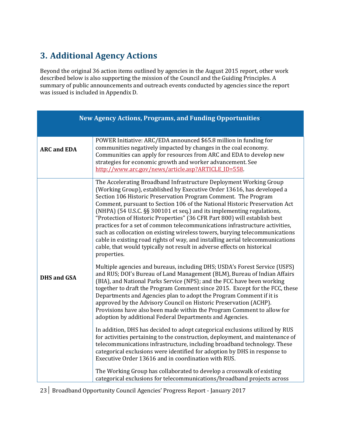# <span id="page-22-0"></span>**3. Additional Agency Actions**

Beyond the original 36 action items outlined by agencies in the August 2015 report, other work described below is also supporting the mission of the Council and the Guiding Principles. A summary of public announcements and outreach events conducted by agencies since the report was issued is included in Appendix D.

| POWER Initiative: ARC/EDA announced \$65.8 million in funding for<br>communities negatively impacted by changes in the coal economy.<br><b>ARC and EDA</b><br>Communities can apply for resources from ARC and EDA to develop new<br>strategies for economic growth and worker advancement. See<br>http://www.arc.gov/news/article.asp?ARTICLE_ID=558.<br>The Accelerating Broadband Infrastructure Deployment Working Group<br>(Working Group), established by Executive Order 13616, has developed a<br>Section 106 Historic Preservation Program Comment. The Program<br>Comment, pursuant to Section 106 of the National Historic Preservation Act<br>(NHPA) (54 U.S.C. §§ 300101 et seq.) and its implementing regulations,<br>"Protection of Historic Properties" (36 CFR Part 800) will establish best<br>practices for a set of common telecommunications infrastructure activities,<br>cable, that would typically not result in adverse effects on historical                      | <b>New Agency Actions, Programs, and Funding Opportunities</b>                                                                                                                                                                                                                                                                               |  |
|----------------------------------------------------------------------------------------------------------------------------------------------------------------------------------------------------------------------------------------------------------------------------------------------------------------------------------------------------------------------------------------------------------------------------------------------------------------------------------------------------------------------------------------------------------------------------------------------------------------------------------------------------------------------------------------------------------------------------------------------------------------------------------------------------------------------------------------------------------------------------------------------------------------------------------------------------------------------------------------------|----------------------------------------------------------------------------------------------------------------------------------------------------------------------------------------------------------------------------------------------------------------------------------------------------------------------------------------------|--|
|                                                                                                                                                                                                                                                                                                                                                                                                                                                                                                                                                                                                                                                                                                                                                                                                                                                                                                                                                                                              |                                                                                                                                                                                                                                                                                                                                              |  |
| Multiple agencies and bureaus, including DHS; USDA's Forest Service (USFS)<br>and RUS; DOI's Bureau of Land Management (BLM), Bureau of Indian Affairs<br><b>DHS and GSA</b><br>(BIA), and National Parks Service (NPS); and the FCC have been working<br>Departments and Agencies plan to adopt the Program Comment if it is<br>approved by the Advisory Council on Historic Preservation (ACHP).<br>Provisions have also been made within the Program Comment to allow for<br>adoption by additional Federal Departments and Agencies.<br>In addition, DHS has decided to adopt categorical exclusions utilized by RUS<br>telecommunications infrastructure, including broadband technology. These<br>categorical exclusions were identified for adoption by DHS in response to<br>Executive Order 13616 and in coordination with RUS.<br>The Working Group has collaborated to develop a crosswalk of existing<br>categorical exclusions for telecommunications/broadband projects across | such as collocation on existing wireless towers, burying telecommunications<br>cable in existing road rights of way, and installing aerial telecommunications<br>properties.<br>together to draft the Program Comment since 2015. Except for the FCC, these<br>for activities pertaining to the construction, deployment, and maintenance of |  |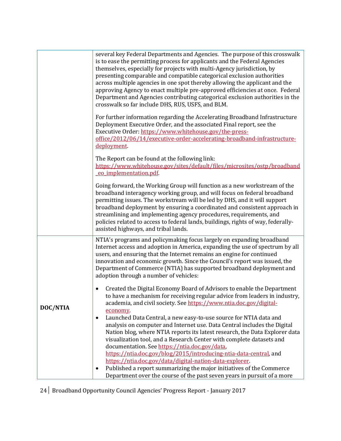|          | several key Federal Departments and Agencies. The purpose of this crosswalk<br>is to ease the permitting process for applicants and the Federal Agencies<br>themselves, especially for projects with multi-Agency jurisdiction, by<br>presenting comparable and compatible categorical exclusion authorities<br>across multiple agencies in one spot thereby allowing the applicant and the<br>approving Agency to enact multiple pre-approved efficiencies at once. Federal<br>Department and Agencies contributing categorical exclusion authorities in the<br>crosswalk so far include DHS, RUS, USFS, and BLM. |  |
|----------|--------------------------------------------------------------------------------------------------------------------------------------------------------------------------------------------------------------------------------------------------------------------------------------------------------------------------------------------------------------------------------------------------------------------------------------------------------------------------------------------------------------------------------------------------------------------------------------------------------------------|--|
|          | For further information regarding the Accelerating Broadband Infrastructure<br>Deployment Executive Order, and the associated Final report, see the<br>Executive Order: https://www.whitehouse.gov/the-press-<br>office/2012/06/14/executive-order-accelerating-broadband-infrastructure-<br>deployment.                                                                                                                                                                                                                                                                                                           |  |
|          | The Report can be found at the following link:<br>https://www.whitehouse.gov/sites/default/files/microsites/ostp/broadband<br>eo_implementation.pdf.                                                                                                                                                                                                                                                                                                                                                                                                                                                               |  |
|          | Going forward, the Working Group will function as a new workstream of the<br>broadband interagency working group, and will focus on federal broadband<br>permitting issues. The workstream will be led by DHS, and it will support<br>broadband deployment by ensuring a coordinated and consistent approach in<br>streamlining and implementing agency procedures, requirements, and<br>policies related to access to federal lands, buildings, rights of way, federally-<br>assisted highways, and tribal lands.                                                                                                 |  |
|          | NTIA's programs and policymaking focus largely on expanding broadband<br>Internet access and adoption in America, expanding the use of spectrum by all<br>users, and ensuring that the Internet remains an engine for continued<br>innovation and economic growth. Since the Council's report was issued, the<br>Department of Commerce (NTIA) has supported broadband deployment and<br>adoption through a number of vehicles:                                                                                                                                                                                    |  |
| DOC/NTIA | Created the Digital Economy Board of Advisors to enable the Department<br>to have a mechanism for receiving regular advice from leaders in industry,<br>academia, and civil society. See https://www.ntia.doc.gov/digital-<br>economy.<br>Launched Data Central, a new easy-to-use source for NTIA data and<br>analysis on computer and Internet use. Data Central includes the Digital<br>Nation blog, where NTIA reports its latest research, the Data Explorer data<br>visualization tool, and a Research Center with complete datasets and<br>documentation. See https://ntia.doc.gov/data.                    |  |
|          | https://ntia.doc.gov/blog/2015/introducing-ntia-data-central, and<br>https://ntia.doc.gov/data/digital-nation-data-explorer.<br>Published a report summarizing the major initiatives of the Commerce<br>Department over the course of the past seven years in pursuit of a more                                                                                                                                                                                                                                                                                                                                    |  |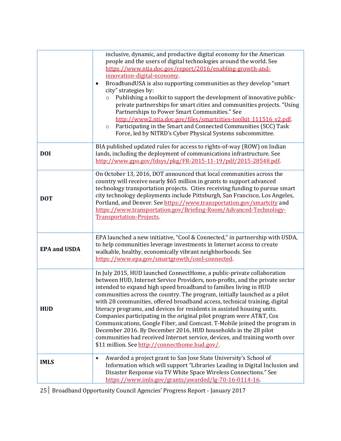|                     | inclusive, dynamic, and productive digital economy for the American<br>people and the users of digital technologies around the world. See<br>https://www.ntia.doc.gov/report/2016/enabling-growth-and-<br>innovation-digital-economy.<br>BroadbandUSA is also supporting communities as they develop "smart<br>city" strategies by:<br>Publishing a toolkit to support the development of innovative public-<br>$\circ$<br>private partnerships for smart cities and communities projects. "Using<br>Partnerships to Power Smart Communities." See<br>http://www2.ntia.doc.gov/files/smartcities-toolkit 111516 v2.pdf.<br>Participating in the Smart and Connected Communities (SCC) Task<br>$\circ$<br>Force, led by NITRD's Cyber Physical Systems subcommittee.                                                         |
|---------------------|-----------------------------------------------------------------------------------------------------------------------------------------------------------------------------------------------------------------------------------------------------------------------------------------------------------------------------------------------------------------------------------------------------------------------------------------------------------------------------------------------------------------------------------------------------------------------------------------------------------------------------------------------------------------------------------------------------------------------------------------------------------------------------------------------------------------------------|
| <b>DOI</b>          | BIA published updated rules for access to rights-of-way (ROW) on Indian<br>lands, including the deployment of communications infrastructure. See<br>http://www.gpo.gov/fdsys/pkg/FR-2015-11-19/pdf/2015-28548.pdf.                                                                                                                                                                                                                                                                                                                                                                                                                                                                                                                                                                                                          |
| <b>DOT</b>          | On October 13, 2016, DOT announced that local communities across the<br>country will receive nearly \$65 million in grants to support advanced<br>technology transportation projects. Cities receiving funding to pursue smart<br>city technology deployments include Pittsburgh, San Francisco, Los Angeles,<br>Portland, and Denver. See https://www.transportation.gov/smartcity and<br>https://www.transportation.gov/Briefing-Room/Advanced-Technology-<br><b>Transportation-Projects.</b>                                                                                                                                                                                                                                                                                                                             |
| <b>EPA and USDA</b> | EPA launched a new initiative, "Cool & Connected," in partnership with USDA,<br>to help communities leverage investments in Internet access to create<br>walkable, healthy, economically vibrant neighborhoods. See<br>https://www.epa.gov/smartgrowth/cool-connected.                                                                                                                                                                                                                                                                                                                                                                                                                                                                                                                                                      |
| <b>HUD</b>          | In July 2015, HUD launched ConnectHome, a public-private collaboration<br>between HUD, Internet Service Providers, non-profits, and the private sector<br>intended to expand high speed broadband to families living in HUD<br>communities across the country. The program, initially launched as a pilot<br>with 28 communities, offered broadband access, technical training, digital<br>literacy programs, and devices for residents in assisted housing units.<br>Companies participating in the original pilot program were AT&T, Cox<br>Communications, Google Fiber, and Comcast. T-Mobile joined the program in<br>December 2016. By December 2016, HUD households in the 28 pilot<br>communities had received Internet service, devices, and training worth over<br>\$11 million. See http://connecthome.hud.gov/. |
| <b>IMLS</b>         | Awarded a project grant to San Jose State University's School of<br>Information which will support "Libraries Leading in Digital Inclusion and<br>Disaster Response via TV White Space Wireless Connections." See<br>https://www.imls.gov/grants/awarded/lg-70-16-0114-16.                                                                                                                                                                                                                                                                                                                                                                                                                                                                                                                                                  |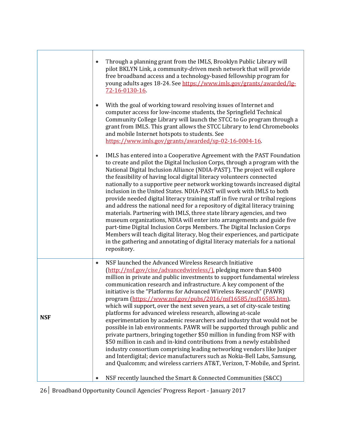|            | Through a planning grant from the IMLS, Brooklyn Public Library will<br>pilot BKLYN Link, a community-driven mesh network that will provide<br>free broadband access and a technology-based fellowship program for<br>young adults ages 18-24. See https://www.imls.gov/grants/awarded/lg-<br>72-16-0130-16<br>With the goal of working toward resolving issues of Internet and                                                                                                                                                                                                                                                                                                                                                                                                                                                                                                                                                                                                                                                                                                                                                                                                                   |
|------------|---------------------------------------------------------------------------------------------------------------------------------------------------------------------------------------------------------------------------------------------------------------------------------------------------------------------------------------------------------------------------------------------------------------------------------------------------------------------------------------------------------------------------------------------------------------------------------------------------------------------------------------------------------------------------------------------------------------------------------------------------------------------------------------------------------------------------------------------------------------------------------------------------------------------------------------------------------------------------------------------------------------------------------------------------------------------------------------------------------------------------------------------------------------------------------------------------|
|            | computer access for low-income students, the Springfield Technical<br>Community College Library will launch the STCC to Go program through a<br>grant from IMLS. This grant allows the STCC Library to lend Chromebooks<br>and mobile Internet hotspots to students. See<br>https://www.imls.gov/grants/awarded/sp-02-16-0004-16.                                                                                                                                                                                                                                                                                                                                                                                                                                                                                                                                                                                                                                                                                                                                                                                                                                                                 |
|            | IMLS has entered into a Cooperative Agreement with the PAST Foundation<br>to create and pilot the Digital Inclusion Corps, through a program with the<br>National Digital Inclusion Alliance (NDIA-PAST). The project will explore<br>the feasibility of having local digital literacy volunteers connected<br>nationally to a supportive peer network working towards increased digital<br>inclusion in the United States. NDIA-PAST will work with IMLS to both<br>provide needed digital literacy training staff in five rural or tribal regions<br>and address the national need for a repository of digital literacy training<br>materials. Partnering with IMLS, three state library agencies, and two<br>museum organizations, NDIA will enter into arrangements and guide five<br>part-time Digital Inclusion Corps Members. The Digital Inclusion Corps<br>Members will teach digital literacy, blog their experiences, and participate<br>in the gathering and annotating of digital literacy materials for a national<br>repository.                                                                                                                                                   |
| <b>NSF</b> | NSF launched the Advanced Wireless Research Initiative<br>$\bullet$<br>(http://nsf.gov/cise/advancedwireless/), pledging more than \$400<br>million in private and public investments to support fundamental wireless<br>communication research and infrastructure. A key component of the<br>initiative is the "Platforms for Advanced Wireless Research" (PAWR)<br>program (https://www.nsf.gov/pubs/2016/nsf16585/nsf16585.htm),<br>which will support, over the next seven years, a set of city-scale testing<br>platforms for advanced wireless research, allowing at-scale<br>experimentation by academic researchers and industry that would not be<br>possible in lab environments. PAWR will be supported through public and<br>private partners, bringing together \$50 million in funding from NSF with<br>\$50 million in cash and in-kind contributions from a newly established<br>industry consortium comprising leading networking vendors like Juniper<br>and Interdigital; device manufacturers such as Nokia-Bell Labs, Samsung,<br>and Qualcomm; and wireless carriers AT&T, Verizon, T-Mobile, and Sprint.<br>NSF recently launched the Smart & Connected Communities (S&CC) |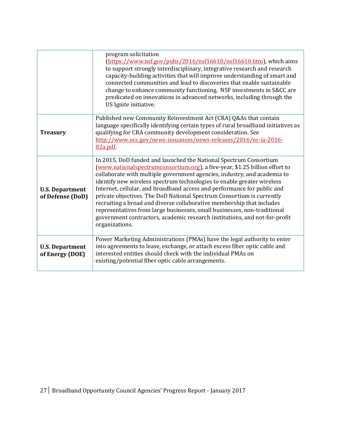|                                            | program solicitation<br>(https://www.nsf.gov/pubs/2016/nsf16610/nsf16610.htm), which aims<br>to support strongly interdisciplinary, integrative research and research<br>capacity-building activities that will improve understanding of smart and<br>connected communities and lead to discoveries that enable sustainable<br>change to enhance community functioning. NSF investments in S&CC are<br>predicated on innovations in advanced networks, including through the<br>US Ignite initiative.                                                                                                                                                                                                           |
|--------------------------------------------|-----------------------------------------------------------------------------------------------------------------------------------------------------------------------------------------------------------------------------------------------------------------------------------------------------------------------------------------------------------------------------------------------------------------------------------------------------------------------------------------------------------------------------------------------------------------------------------------------------------------------------------------------------------------------------------------------------------------|
| <b>Treasury</b>                            | Published new Community Reinvestment Act (CRA) Q&As that contain<br>language specifically identifying certain types of rural broadband initiatives as<br>qualifying for CRA community development consideration. See<br>http://www.occ.gov/news-issuances/news-releases/2016/nr-ia-2016-<br>82a.pdf.                                                                                                                                                                                                                                                                                                                                                                                                            |
| <b>U.S. Department</b><br>of Defense (DoD) | In 2015, DoD funded and launched the National Spectrum Consortium<br>(www.nationalspectrumconsortium.org), a five-year, \$1.25 billion effort to<br>collaborate with multiple government agencies, industry, and academia to<br>identify new wireless spectrum technologies to enable greater wireless<br>Internet, cellular, and broadband access and performance for public and<br>private objectives. The DoD National Spectrum Consortium is currently<br>recruiting a broad and diverse collaborative membership that includes<br>representatives from large businesses, small businesses, non-traditional<br>government contractors, academic research institutions, and not-for-profit<br>organizations. |
| <b>U.S. Department</b><br>of Energy (DOE)  | Power Marketing Administrations (PMAs) have the legal authority to enter<br>into agreements to lease, exchange, or attach excess fiber optic cable and<br>interested entities should check with the individual PMAs on<br>existing/potential fiber optic cable arrangements.                                                                                                                                                                                                                                                                                                                                                                                                                                    |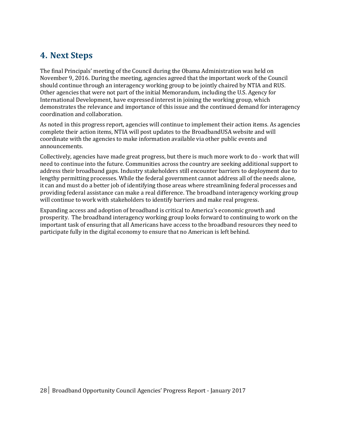## <span id="page-27-0"></span>**4. Next Steps**

The final Principals' meeting of the Council during the Obama Administration was held on November 9, 2016. During the meeting, agencies agreed that the important work of the Council should continue through an interagency working group to be jointly chaired by NTIA and RUS. Other agencies that were not part of the initial Memorandum, including the U.S. Agency for International Development, have expressed interest in joining the working group, which demonstrates the relevance and importance of this issue and the continued demand for interagency coordination and collaboration.

As noted in this progress report, agencies will continue to implement their action items. As agencies complete their action items, NTIA will post updates to the BroadbandUSA website and will coordinate with the agencies to make information available via other public events and announcements.

Collectively, agencies have made great progress, but there is much more work to do - work that will need to continue into the future. Communities across the country are seeking additional support to address their broadband gaps. Industry stakeholders still encounter barriers to deployment due to lengthy permitting processes. While the federal government cannot address all of the needs alone, it can and must do a better job of identifying those areas where streamlining federal processes and providing federal assistance can make a real difference. The broadband interagency working group will continue to work with stakeholders to identify barriers and make real progress.

Expanding access and adoption of broadband is critical to America's economic growth and prosperity. The broadband interagency working group looks forward to continuing to work on the important task of ensuring that all Americans have access to the broadband resources they need to participate fully in the digital economy to ensure that no American is left behind.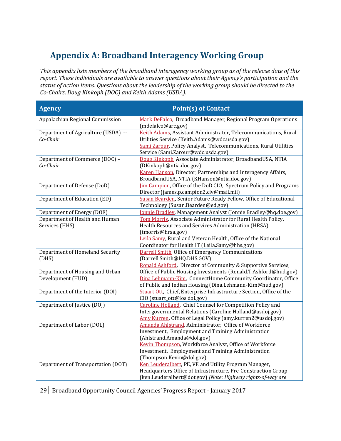# <span id="page-28-0"></span>**Appendix A: Broadband Interagency Working Group**

*This appendix lists members of the broadband interagency working group as of the release date of this report. These individuals are available to answer questions about their Agency's participation and the status of action items. Questions about the leadership of the working group should be directed to the Co-Chairs, Doug Kinkoph (DOC) and Keith Adams (USDA).*

| <b>Agency</b>                                        | <b>Point(s) of Contact</b>                                                                                                                                                                                                                                                           |
|------------------------------------------------------|--------------------------------------------------------------------------------------------------------------------------------------------------------------------------------------------------------------------------------------------------------------------------------------|
| Appalachian Regional Commission                      | Mark DeFalco, Broadband Manager, Regional Program Operations                                                                                                                                                                                                                         |
| Department of Agriculture (USDA) --<br>Co-Chair      | (mdefalco@arc.gov)<br>Keith Adams, Assistant Administrator, Telecommunications, Rural<br>Utilities Service (Keith.Adams@wdc.usda.gov)<br>Sami Zarour, Policy Analyst, Telecommunications, Rural Utilities<br>Service (Sami.Zarour@wdc.usda.gov)                                      |
| Department of Commerce (DOC) -<br>Co-Chair           | Doug Kinkoph, Associate Administrator, BroadbandUSA, NTIA<br>(DKinkoph@ntia.doc.gov)<br>Karen Hanson, Director, Partnerships and Interagency Affairs,<br>BroadbandUSA, NTIA (KHanson@ntia.doc.gov)                                                                                   |
| Department of Defense (DoD)                          | <b>Jim Campion</b> , Office of the DoD CIO, Spectrum Policy and Programs<br>Director (james.p.campion2.civ@mail.mil)                                                                                                                                                                 |
| Department of Education (ED)                         | Susan Bearden, Senior Future Ready Fellow, Office of Educational<br>Technology (Susan.Bearden@ed.gov)                                                                                                                                                                                |
| Department of Energy (DOE)                           | Jonnie Bradley, Management Analyst (Jonnie.Bradley@hq.doe.gov)                                                                                                                                                                                                                       |
| Department of Health and Human<br>Services (HHS)     | Tom Morris, Associate Administrator for Rural Health Policy,<br>Health Resources and Services Administration (HRSA)<br>(tmorris@hrsa.gov)<br>Leila Samy, Rural and Veteran Health, Office of the National<br>Coordinator for Health IT (Leila.Samy@hhs.gov)                          |
| Department of Homeland Security<br>(DHS)             | <b>Darrell Smith, Office of Emergency Communications</b><br>(Darrell.Smith@HQ.DHS.GOV)                                                                                                                                                                                               |
| Department of Housing and Urban<br>Development (HUD) | Ronald Ashford, Director of Community & Supportive Services,<br>Office of Public Housing Investments (Ronald.T.Ashford@hud.gov)<br>Dina Lehmann-Kim, ConnectHome Community Coordinator, Office<br>of Public and Indian Housing (Dina.Lehmann-Kim@hud.gov)                            |
| Department of the Interior (DOI)                     | Stuart Ott, Chief, Enterprise Infrastructure Section, Office of the<br>CIO (stuart_ott@ios.doi.gov)                                                                                                                                                                                  |
| Department of Justice (DOJ)                          | Caroline Holland, Chief Counsel for Competition Policy and<br>Intergovernmental Relations (Caroline.Holland@usdoj.gov)<br>Amy Kurren, Office of Legal Policy (amy.kurren2@usdoj.gov)                                                                                                 |
| Department of Labor (DOL)                            | Amanda Ahlstrand, Administrator, Office of Workforce<br>Investment, Employment and Training Administration<br>(Ahlstrand.Amanda@dol.gov)<br>Kevin Thompson, Workforce Analyst, Office of Workforce<br>Investment, Employment and Training Administration<br>(Thompson.Kevin@dol.gov) |
| Department of Transportation (DOT)                   | Ken Leuderalbert, PE, VE and Utility Program Manager,<br>Headquarters Office of Infrastructure, Pre-Construction Group<br>(ken.Leuderalbert@dot.gov) [Note: Highway rights-of-way are                                                                                                |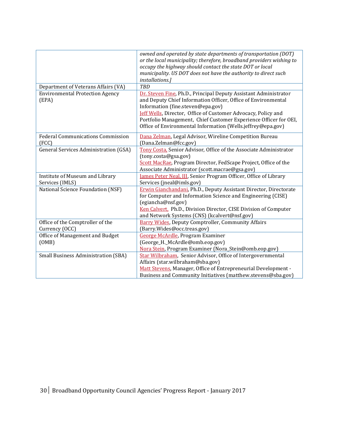|                                                    | owned and operated by state departments of transportation (DOT)<br>or the local municipality; therefore, broadband providers wishing to<br>occupy the highway should contact the state DOT or local<br>municipality. US DOT does not have the authority to direct such<br>installations.]                                                                                          |
|----------------------------------------------------|------------------------------------------------------------------------------------------------------------------------------------------------------------------------------------------------------------------------------------------------------------------------------------------------------------------------------------------------------------------------------------|
| Department of Veterans Affairs (VA)                | <b>TBD</b>                                                                                                                                                                                                                                                                                                                                                                         |
| <b>Environmental Protection Agency</b><br>(EPA)    | Dr. Steven Fine, Ph.D., Principal Deputy Assistant Administrator<br>and Deputy Chief Information Officer, Office of Environmental<br>Information (fine.steven@epa.gov)<br><b>Jeff Wells</b> , Director, Office of Customer Advocacy, Policy and<br>Portfolio Management, Chief Customer Experience Officer for OEI,<br>Office of Environmental Information (Wells.jeffrey@epa.gov) |
| <b>Federal Communications Commission</b><br>(FCC)  | Dana Zelman, Legal Advisor, Wireline Competition Bureau<br>(Dana.Zelman@fcc.gov)                                                                                                                                                                                                                                                                                                   |
| <b>General Services Administration (GSA)</b>       | Tony Costa, Senior Advisor, Office of the Associate Administrator<br>(tony.costa@gsa.gov)<br>Scott MacRae, Program Director, FedScape Project, Office of the<br>Associate Administrator (scott.macrae@gsa.gov)                                                                                                                                                                     |
| Institute of Museum and Library<br>Services (IMLS) | James Peter Neal, III, Senior Program Officer, Office of Library<br>Services (jneal@imls.gov)                                                                                                                                                                                                                                                                                      |
| National Science Foundation (NSF)                  | Erwin Gianchandani, Ph.D., Deputy Assistant Director, Directorate<br>for Computer and Information Science and Engineering (CISE)<br>(egiancha@nsf.gov)<br>Ken Calvert, Ph.D., Division Director, CISE Division of Computer<br>and Network Systems (CNS) (kcalvert@nsf.gov)                                                                                                         |
| Office of the Comptroller of the<br>Currency (OCC) | <b>Barry Wides, Deputy Comptroller, Community Affairs</b><br>(Barry.Wides@occ.treas.gov)                                                                                                                                                                                                                                                                                           |
| Office of Management and Budget<br>(OMB)           | George McArdle, Program Examiner<br>(George_H._McArdle@omb.eop.gov)<br>Nora Stein, Program Examiner (Nora_Stein@omb.eop.gov)                                                                                                                                                                                                                                                       |
| <b>Small Business Administration (SBA)</b>         | Star Wilbraham, Senior Advisor, Office of Intergovernmental<br>Affairs (star.wilbraham@sba.gov)<br>Matt Stevens, Manager, Office of Entrepreneurial Development -<br>Business and Community Initiatives (matthew.stevens@sba.gov)                                                                                                                                                  |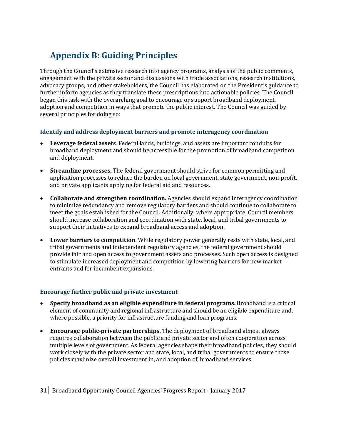# <span id="page-30-0"></span>**Appendix B: Guiding Principles**

Through the Council's extensive research into agency programs, analysis of the public comments, engagement with the private sector and discussions with trade associations, research institutions, advocacy groups, and other stakeholders, the Council has elaborated on the President's guidance to further inform agencies as they translate these prescriptions into actionable policies. The Council began this task with the overarching goal to encourage or support broadband deployment, adoption and competition in ways that promote the public interest. The Council was guided by several principles for doing so:

#### **Identify and address deployment barriers and promote interagency coordination**

- **Leverage federal assets**. Federal lands, buildings, and assets are important conduits for broadband deployment and should be accessible for the promotion of broadband competition and deployment.
- **Streamline processes.** The federal government should strive for common permitting and application processes to reduce the burden on local government, state government, non-profit, and private applicants applying for federal aid and resources.
- **Collaborate and strengthen coordination.** Agencies should expand interagency coordination to minimize redundancy and remove regulatory barriers and should continue to collaborate to meet the goals established for the Council. Additionally, where appropriate, Council members should increase collaboration and coordination with state, local, and tribal governments to support their initiatives to expand broadband access and adoption.
- **Lower barriers to competition.** While regulatory power generally rests with state, local, and tribal governments and independent regulatory agencies, the federal government should provide fair and open access to government assets and processes. Such open access is designed to stimulate increased deployment and competition by lowering barriers for new market entrants and for incumbent expansions.

#### **Encourage further public and private investment**

- **Specify broadband as an eligible expenditure in federal programs.** Broadband is a critical element of community and regional infrastructure and should be an eligible expenditure and, where possible, a priority for infrastructure funding and loan programs.
- **Encourage public-private partnerships.** The deployment of broadband almost always requires collaboration between the public and private sector and often cooperation across multiple levels of government. As federal agencies shape their broadband policies, they should work closely with the private sector and state, local, and tribal governments to ensure those policies maximize overall investment in, and adoption of, broadband services.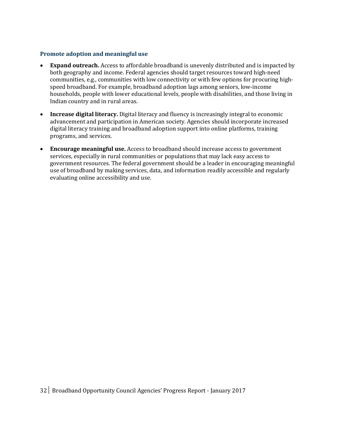#### **Promote adoption and meaningful use**

- **Expand outreach.** Access to affordable broadband is unevenly distributed and is impacted by both geography and income. Federal agencies should target resources toward high-need communities, e.g., communities with low connectivity or with few options for procuring highspeed broadband. For example, broadband adoption lags among seniors, low-income households, people with lower educational levels, people with disabilities, and those living in Indian country and in rural areas.
- **Increase digital literacy.** Digital literacy and fluency is increasingly integral to economic advancement and participation in American society. Agencies should incorporate increased digital literacy training and broadband adoption support into online platforms, training programs, and services.
- **Encourage meaningful use.** Access to broadband should increase access to government services, especially in rural communities or populations that may lack easy access to government resources. The federal government should be a leader in encouraging meaningful use of broadband by making services, data, and information readily accessible and regularly evaluating online accessibility and use.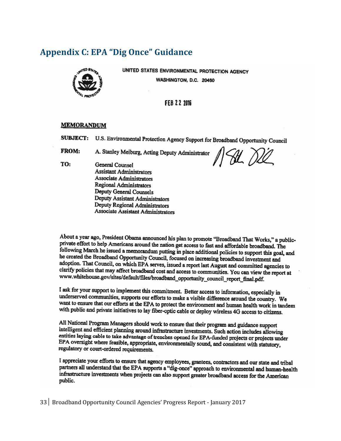### <span id="page-32-0"></span>**Appendix C: EPA "Dig Once" Guidance**



UNITED STATES ENVIRONMENTAL PROTECTION AGENCY WASHINGTON, D.C. 20460

#### FEB 22 2016

#### **MEMORANDUM**

SUBJECT: U.S. Environmental Protection Agency Support for Broadband Opportunity Council

**FROM:** A. Stanley Meiburg, Acting Deputy Administrator

TO: **General Counsel Assistant Administrators Associate Administrators** Regional Administrators Deputy General Counsels Deputy Assistant Administrators Deputy Regional Administrators **Associate Assistant Administrators** 

HL DL

About a year ago, President Obama announced his plan to promote "Broadband That Works," a publicprivate effort to help Americans around the nation get access to fast and affordable broadband. The following March he issued a memorandum putting in place additional policies to support this goal, and he created the Broadband Opportunity Council, focused on increasing broadband investment and adoption. That Council, on which EPA serves, issued a report last August and committed agencies to clarify policies that may affect broadband cost and access to communities. You can view the report at www.whitehouse.gov/sites/default/files/broadband\_opportunity\_council\_report\_final.pdf.

I ask for your support to implement this commitment. Better access to information, especially in underserved communities, supports our efforts to make a visible difference around the country. We want to ensure that our efforts at the EPA to protect the environment and human health work in tandem with public and private initiatives to lay fiber-optic cable or deploy wireless 4G access to citizens.

All National Program Managers should work to ensure that their program and guidance support intelligent and efficient planning around infrastructure investments. Such action includes allowing entities laying cable to take advantage of trenches opened for EPA-funded projects or projects under EPA oversight where feasible, appropriate, environmentally sound, and consistent with statutory, regulatory or court-ordered requirements.

I appreciate your efforts to ensure that agency employees, grantees, contractors and our state and tribal partners all understand that the EPA supports a "dig-once" approach to environmental and human-health infrastructure investments when projects can also support greater broadband access for the American public.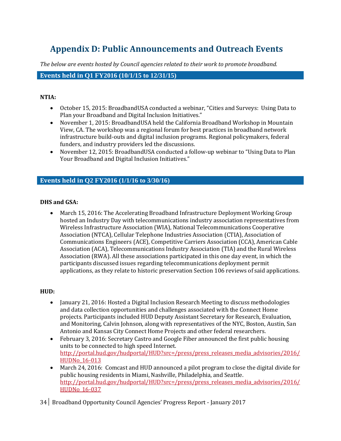# <span id="page-33-0"></span>**Appendix D: Public Announcements and Outreach Events**

*The below are events hosted by Council agencies related to their work to promote broadband.*

#### **Events held in Q1 FY2016 (10/1/15 to 12/31/15)**

#### **NTIA:**

- October 15, 2015: BroadbandUSA conducted a webinar, "Cities and Surveys: Using Data to Plan your Broadband and Digital Inclusion Initiatives."
- November 1, 2015: BroadbandUSA held the California Broadband Workshop in Mountain View, CA. The workshop was a regional forum for best practices in broadband network infrastructure build-outs and digital inclusion programs. Regional policymakers, federal funders, and industry providers led the discussions.
- November 12, 2015: BroadbandUSA conducted a follow-up webinar to "Using Data to Plan Your Broadband and Digital Inclusion Initiatives."

#### **Events held in Q2 FY2016 (1/1/16 to 3/30/16)**

#### **DHS and GSA:**

 March 15, 2016: The Accelerating Broadband Infrastructure Deployment Working Group hosted an Industry Day with telecommunications industry association representatives from Wireless Infrastructure Association (WIA), National Telecommunications Cooperative Association (NTCA), Cellular Telephone Industries Association (CTIA), Association of Communications Engineers (ACE), Competitive Carriers Association (CCA), American Cable Association (ACA), Telecommunications Industry Association (TIA) and the Rural Wireless Association (RWA). All these associations participated in this one day event, in which the participants discussed issues regarding telecommunications deployment permit applications, as they relate to historic preservation Section 106 reviews of said applications.

#### **HUD:**

- January 21, 2016: Hosted a Digital Inclusion Research Meeting to discuss methodologies and data collection opportunities and challenges associated with the Connect Home projects. Participants included HUD Deputy Assistant Secretary for Research, Evaluation, and Monitoring, Calvin Johnson, along with representatives of the NYC, Boston, Austin, San Antonio and Kansas City Connect Home Projects and other federal researchers.
- February 3, 2016: Secretary Castro and Google Fiber announced the first public housing units to be connected to high speed Internet. [http://portal.hud.gov/hudportal/HUD?src=/press/press\\_releases\\_media\\_advisories/2016/](http://portal.hud.gov/hudportal/HUD?src=/press/press_releases_media_advisories/2016/HUDNo_16-013) [HUDNo\\_16-013](http://portal.hud.gov/hudportal/HUD?src=/press/press_releases_media_advisories/2016/HUDNo_16-013)
- March 24, 2016: Comcast and HUD announced a pilot program to close the digital divide for public housing residents in Miami, Nashville, Philadelphia, and Seattle. [http://portal.hud.gov/hudportal/HUD?src=/press/press\\_releases\\_media\\_advisories/2016/](http://portal.hud.gov/hudportal/HUD?src=/press/press_releases_media_advisories/2016/HUDNo_16-037) [HUDNo\\_16-037](http://portal.hud.gov/hudportal/HUD?src=/press/press_releases_media_advisories/2016/HUDNo_16-037)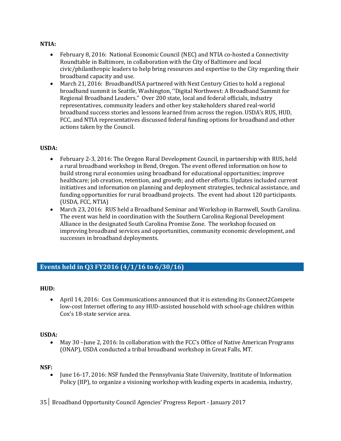#### **NTIA:**

- February 8, 2016: National Economic Council (NEC) and NTIA co-hosted a Connectivity Roundtable in Baltimore, in collaboration with the City of Baltimore and local civic/philanthropic leaders to help bring resources and expertise to the City regarding their broadband capacity and use.
- March 21, 2016: BroadbandUSA partnered with Next Century Cities to hold a regional broadband summit in Seattle, Washington, ''Digital Northwest: A Broadband Summit for Regional Broadband Leaders." Over 200 state, local and federal officials, industry representatives, community leaders and other key stakeholders shared real-world broadband success stories and lessons learned from across the region. USDA's RUS, HUD, FCC, and NTIA representatives discussed federal funding options for broadband and other actions taken by the Council.

#### **USDA:**

- February 2-3, 2016: The Oregon Rural Development Council, in partnership with RUS, held a rural broadband workshop in Bend, Oregon. The event offered information on how to build strong rural economies using broadband for educational opportunities; improve healthcare; job creation, retention, and growth; and other efforts. Updates included current initiatives and information on planning and deployment strategies, technical assistance, and funding opportunities for rural broadband projects. The event had about 120 participants. (USDA, FCC, NTIA)
- March 23, 2016: RUS held a Broadband Seminar and Workshop in Barnwell, South Carolina. The event was held in coordination with the Southern Carolina Regional Development Alliance in the designated South Carolina Promise Zone. The workshop focused on improving broadband services and opportunities, community economic development, and successes in broadband deployments.

### **Events held in Q3 FY2016 (4/1/16 to 6/30/16)**

#### **HUD:**

 April 14, 2016: Cox Communications announced that it is extending its Connect2Compete low-cost Internet offering to any HUD-assisted household with school-age children within Cox's 18-state service area.

#### **USDA:**

 May 30 –June 2, 2016: In collaboration with the FCC's Office of Native American Programs (ONAP), USDA conducted a tribal broadband workshop in Great Falls, MT.

#### **NSF:**

• June 16-17, 2016: NSF funded the Pennsylvania State University, Institute of Information Policy (IIP), to organize a visioning workshop with leading experts in academia, industry,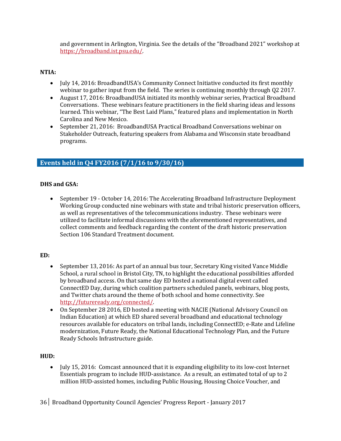and government in Arlington, Virginia. See the details of the "Broadband 2021" workshop at [https://broadband.ist.psu.edu/.](https://broadband.ist.psu.edu/)

#### **NTIA:**

- July 14, 2016: BroadbandUSA's Community Connect Initiative conducted its first monthly webinar to gather input from the field. The series is continuing monthly through Q2 2017.
- August 17, 2016: BroadbandUSA initiated its monthly webinar series, Practical Broadband Conversations. These webinars feature practitioners in the field sharing ideas and lessons learned. This webinar, "The Best Laid Plans," featured plans and implementation in North Carolina and New Mexico.
- September 21, 2016: BroadbandUSA Practical Broadband Conversations webinar on Stakeholder Outreach, featuring speakers from Alabama and Wisconsin state broadband programs.

### **Events held in Q4 FY2016 (7/1/16 to 9/30/16)**

#### **DHS and GSA:**

 September 19 - October 14, 2016: The Accelerating Broadband Infrastructure Deployment Working Group conducted nine webinars with state and tribal historic preservation officers, as well as representatives of the telecommunications industry. These webinars were utilized to facilitate informal discussions with the aforementioned representatives, and collect comments and feedback regarding the content of the draft historic preservation Section 106 Standard Treatment document.

#### **ED:**

- September 13, 2016: As part of an annual bus tour, Secretary King visited Vance Middle School, a rural school in Bristol City, TN, to highlight the educational possibilities afforded by broadband access. On that same day ED hosted a national digital event called ConnectED Day, during which coalition partners scheduled panels, webinars, blog posts, and Twitter chats around the theme of both school and home connectivity. See [http://futureready.org/connected/.](http://futureready.org/connected/)
- On September 28 2016, ED hosted a meeting with NACIE (National Advisory Council on Indian Education) at which ED shared several broadband and educational technology resources available for educators on tribal lands, including ConnectED; e-Rate and Lifeline modernization, Future Ready, the National Educational Technology Plan, and the Future Ready Schools Infrastructure guide.

#### **HUD:**

• July 15, 2016: Comcast announced that it is expanding eligibility to its low-cost Internet Essentials program to include HUD-assistance. As a result, an estimated total of up to 2 million HUD-assisted homes, including Public Housing, Housing Choice Voucher, and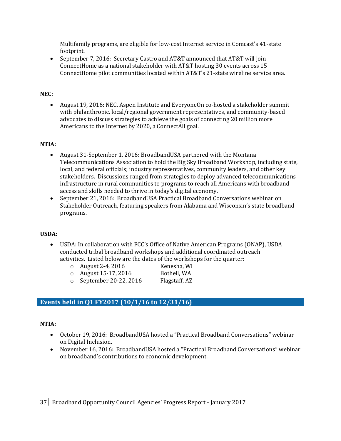Multifamily programs, are eligible for low-cost Internet service in Comcast's 41-state footprint.

• September 7, 2016: Secretary Castro and AT&T announced that AT&T will join ConnectHome as a national stakeholder with AT&T hosting 30 events across 15 ConnectHome pilot communities located within AT&T's 21-state wireline service area.

#### **NEC:**

 August 19, 2016: NEC, Aspen Institute and EveryoneOn co-hosted a stakeholder summit with philanthropic, local/regional government representatives, and community-based advocates to discuss strategies to achieve the goals of connecting 20 million more Americans to the Internet by 2020, a ConnectAll goal.

#### **NTIA:**

- August 31-September 1, 2016: BroadbandUSA partnered with the Montana Telecommunications Association to hold the Big Sky Broadband Workshop, including state, local, and federal officials; industry representatives, community leaders, and other key stakeholders. Discussions ranged from strategies to deploy advanced telecommunications infrastructure in rural communities to programs to reach all Americans with broadband access and skills needed to thrive in today's digital economy.
- September 21, 2016: BroadbandUSA Practical Broadband Conversations webinar on Stakeholder Outreach, featuring speakers from Alabama and Wisconsin's state broadband programs.

#### **USDA:**

- USDA: In collaboration with FCC's Office of Native American Programs (ONAP), USDA conducted tribal broadband workshops and additional coordinated outreach activities. Listed below are the dates of the workshops for the quarter:
	- o August 2-4, 2016 Kenesha, WI
	- $\circ$  August 15-17, 2016 Bothell, WA
		-
	- o September 20-22, 2016 Flagstaff, AZ

### **Events held in Q1 FY2017 (10/1/16 to 12/31/16)**

#### **NTIA:**

- October 19, 2016: BroadbandUSA hosted a "Practical Broadband Conversations" webinar on Digital Inclusion.
- November 16, 2016: BroadbandUSA hosted a "Practical Broadband Conversations" webinar on broadband's contributions to economic development.